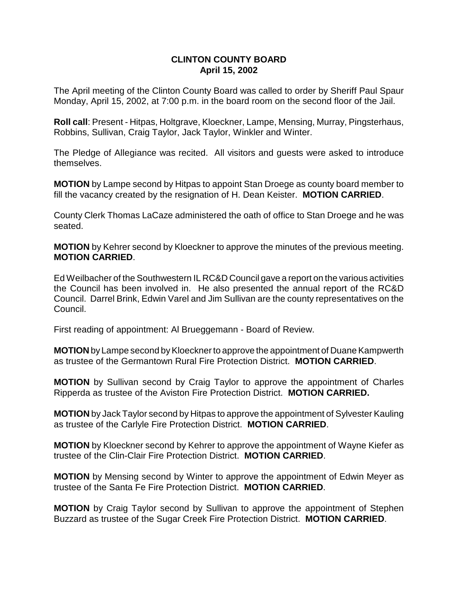# **CLINTON COUNTY BOARD April 15, 2002**

The April meeting of the Clinton County Board was called to order by Sheriff Paul Spaur Monday, April 15, 2002, at 7:00 p.m. in the board room on the second floor of the Jail.

**Roll call**: Present - Hitpas, Holtgrave, Kloeckner, Lampe, Mensing, Murray, Pingsterhaus, Robbins, Sullivan, Craig Taylor, Jack Taylor, Winkler and Winter.

The Pledge of Allegiance was recited. All visitors and guests were asked to introduce themselves.

**MOTION** by Lampe second by Hitpas to appoint Stan Droege as county board member to fill the vacancy created by the resignation of H. Dean Keister. **MOTION CARRIED**.

County Clerk Thomas LaCaze administered the oath of office to Stan Droege and he was seated.

**MOTION** by Kehrer second by Kloeckner to approve the minutes of the previous meeting. **MOTION CARRIED**.

Ed Weilbacher of the Southwestern IL RC&D Council gave a report on the various activities the Council has been involved in. He also presented the annual report of the RC&D Council. Darrel Brink, Edwin Varel and Jim Sullivan are the county representatives on the Council.

First reading of appointment: Al Brueggemann - Board of Review.

**MOTION** by Lampe second by Kloeckner to approve the appointment of Duane Kampwerth as trustee of the Germantown Rural Fire Protection District. **MOTION CARRIED**.

**MOTION** by Sullivan second by Craig Taylor to approve the appointment of Charles Ripperda as trustee of the Aviston Fire Protection District. **MOTION CARRIED.**

**MOTION** by Jack Taylor second by Hitpas to approve the appointment of Sylvester Kauling as trustee of the Carlyle Fire Protection District. **MOTION CARRIED**.

**MOTION** by Kloeckner second by Kehrer to approve the appointment of Wayne Kiefer as trustee of the Clin-Clair Fire Protection District. **MOTION CARRIED**.

**MOTION** by Mensing second by Winter to approve the appointment of Edwin Meyer as trustee of the Santa Fe Fire Protection District. **MOTION CARRIED**.

**MOTION** by Craig Taylor second by Sullivan to approve the appointment of Stephen Buzzard as trustee of the Sugar Creek Fire Protection District. **MOTION CARRIED**.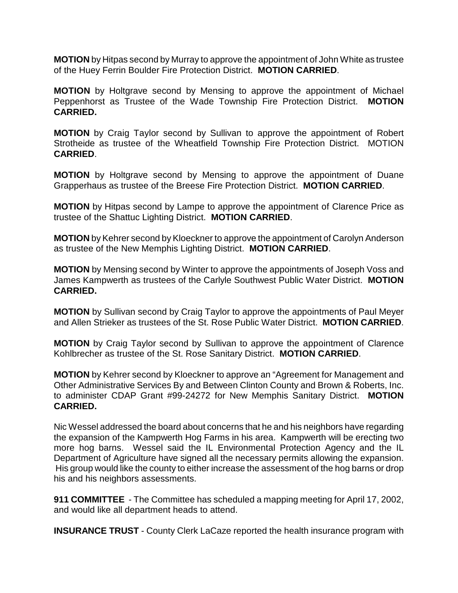**MOTION** by Hitpas second by Murray to approve the appointment of John White as trustee of the Huey Ferrin Boulder Fire Protection District. **MOTION CARRIED**.

**MOTION** by Holtgrave second by Mensing to approve the appointment of Michael Peppenhorst as Trustee of the Wade Township Fire Protection District. **MOTION CARRIED.** 

**MOTION** by Craig Taylor second by Sullivan to approve the appointment of Robert Strotheide as trustee of the Wheatfield Township Fire Protection District. MOTION **CARRIED**.

**MOTION** by Holtgrave second by Mensing to approve the appointment of Duane Grapperhaus as trustee of the Breese Fire Protection District. **MOTION CARRIED**.

**MOTION** by Hitpas second by Lampe to approve the appointment of Clarence Price as trustee of the Shattuc Lighting District. **MOTION CARRIED**.

**MOTION** by Kehrer second by Kloeckner to approve the appointment of Carolyn Anderson as trustee of the New Memphis Lighting District. **MOTION CARRIED**.

**MOTION** by Mensing second by Winter to approve the appointments of Joseph Voss and James Kampwerth as trustees of the Carlyle Southwest Public Water District. **MOTION CARRIED.**

**MOTION** by Sullivan second by Craig Taylor to approve the appointments of Paul Meyer and Allen Strieker as trustees of the St. Rose Public Water District. **MOTION CARRIED**.

**MOTION** by Craig Taylor second by Sullivan to approve the appointment of Clarence Kohlbrecher as trustee of the St. Rose Sanitary District. **MOTION CARRIED**.

**MOTION** by Kehrer second by Kloeckner to approve an "Agreement for Management and Other Administrative Services By and Between Clinton County and Brown & Roberts, Inc. to administer CDAP Grant #99-24272 for New Memphis Sanitary District. **MOTION CARRIED.**

Nic Wessel addressed the board about concerns that he and his neighbors have regarding the expansion of the Kampwerth Hog Farms in his area. Kampwerth will be erecting two more hog barns. Wessel said the IL Environmental Protection Agency and the IL Department of Agriculture have signed all the necessary permits allowing the expansion. His group would like the county to either increase the assessment of the hog barns or drop his and his neighbors assessments.

**911 COMMITTEE** - The Committee has scheduled a mapping meeting for April 17, 2002, and would like all department heads to attend.

**INSURANCE TRUST** - County Clerk LaCaze reported the health insurance program with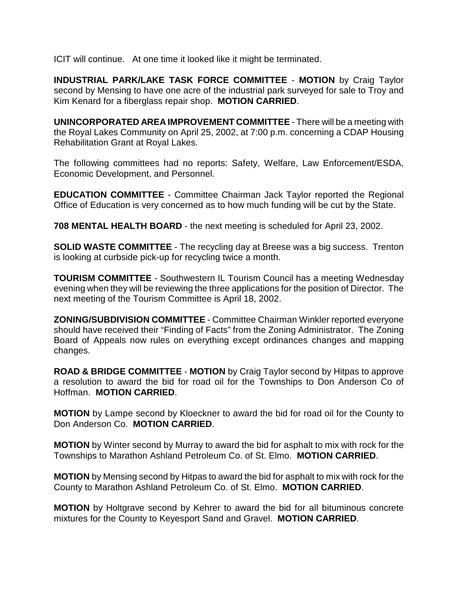ICIT will continue. At one time it looked like it might be terminated.

**INDUSTRIAL PARK/LAKE TASK FORCE COMMITTEE** - **MOTION** by Craig Taylor second by Mensing to have one acre of the industrial park surveyed for sale to Troy and Kim Kenard for a fiberglass repair shop. **MOTION CARRIED**.

**UNINCORPORATED AREA IMPROVEMENT COMMITTEE** - There will be a meeting with the Royal Lakes Community on April 25, 2002, at 7:00 p.m. concerning a CDAP Housing Rehabilitation Grant at Royal Lakes.

The following committees had no reports: Safety, Welfare, Law Enforcement/ESDA, Economic Development, and Personnel.

**EDUCATION COMMITTEE** - Committee Chairman Jack Taylor reported the Regional Office of Education is very concerned as to how much funding will be cut by the State.

**708 MENTAL HEALTH BOARD** - the next meeting is scheduled for April 23, 2002.

**SOLID WASTE COMMITTEE** - The recycling day at Breese was a big success. Trenton is looking at curbside pick-up for recycling twice a month.

**TOURISM COMMITTEE** - Southwestern IL Tourism Council has a meeting Wednesday evening when they will be reviewing the three applications for the position of Director. The next meeting of the Tourism Committee is April 18, 2002.

**ZONING/SUBDIVISION COMMITTEE** - Committee Chairman Winkler reported everyone should have received their "Finding of Facts" from the Zoning Administrator. The Zoning Board of Appeals now rules on everything except ordinances changes and mapping changes.

**ROAD & BRIDGE COMMITTEE** - **MOTION** by Craig Taylor second by Hitpas to approve a resolution to award the bid for road oil for the Townships to Don Anderson Co of Hoffman. **MOTION CARRIED**.

**MOTION** by Lampe second by Kloeckner to award the bid for road oil for the County to Don Anderson Co. **MOTION CARRIED**.

**MOTION** by Winter second by Murray to award the bid for asphalt to mix with rock for the Townships to Marathon Ashland Petroleum Co. of St. Elmo. **MOTION CARRIED**.

**MOTION** by Mensing second by Hitpas to award the bid for asphalt to mix with rock for the County to Marathon Ashland Petroleum Co. of St. Elmo. **MOTION CARRIED**.

**MOTION** by Holtgrave second by Kehrer to award the bid for all bituminous concrete mixtures for the County to Keyesport Sand and Gravel. **MOTION CARRIED**.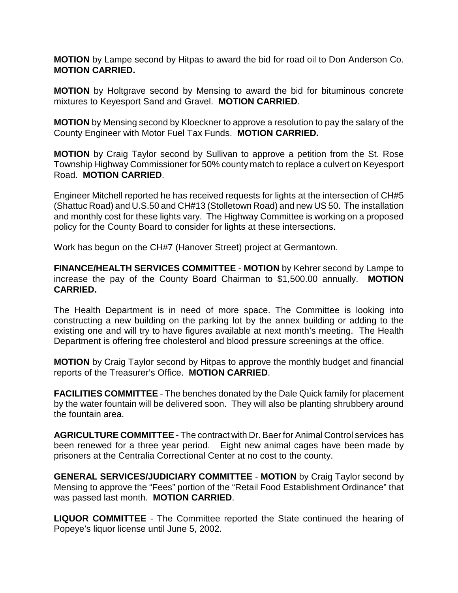**MOTION** by Lampe second by Hitpas to award the bid for road oil to Don Anderson Co. **MOTION CARRIED.**

**MOTION** by Holtgrave second by Mensing to award the bid for bituminous concrete mixtures to Keyesport Sand and Gravel. **MOTION CARRIED**.

**MOTION** by Mensing second by Kloeckner to approve a resolution to pay the salary of the County Engineer with Motor Fuel Tax Funds. **MOTION CARRIED.**

**MOTION** by Craig Taylor second by Sullivan to approve a petition from the St. Rose Township Highway Commissioner for 50% county match to replace a culvert on Keyesport Road. **MOTION CARRIED**.

Engineer Mitchell reported he has received requests for lights at the intersection of CH#5 (Shattuc Road) and U.S.50 and CH#13 (Stolletown Road) and new US 50. The installation and monthly cost for these lights vary. The Highway Committee is working on a proposed policy for the County Board to consider for lights at these intersections.

Work has begun on the CH#7 (Hanover Street) project at Germantown.

**FINANCE/HEALTH SERVICES COMMITTEE** - **MOTION** by Kehrer second by Lampe to increase the pay of the County Board Chairman to \$1,500.00 annually. **MOTION CARRIED.** 

The Health Department is in need of more space. The Committee is looking into constructing a new building on the parking lot by the annex building or adding to the existing one and will try to have figures available at next month's meeting. The Health Department is offering free cholesterol and blood pressure screenings at the office.

**MOTION** by Craig Taylor second by Hitpas to approve the monthly budget and financial reports of the Treasurer's Office. **MOTION CARRIED**.

**FACILITIES COMMITTEE** - The benches donated by the Dale Quick family for placement by the water fountain will be delivered soon. They will also be planting shrubbery around the fountain area.

**AGRICULTURE COMMITTEE** - The contract with Dr. Baer for Animal Control services has been renewed for a three year period. Eight new animal cages have been made by prisoners at the Centralia Correctional Center at no cost to the county.

**GENERAL SERVICES/JUDICIARY COMMITTEE** - **MOTION** by Craig Taylor second by Mensing to approve the "Fees" portion of the "Retail Food Establishment Ordinance" that was passed last month. **MOTION CARRIED**.

**LIQUOR COMMITTEE** - The Committee reported the State continued the hearing of Popeye's liquor license until June 5, 2002.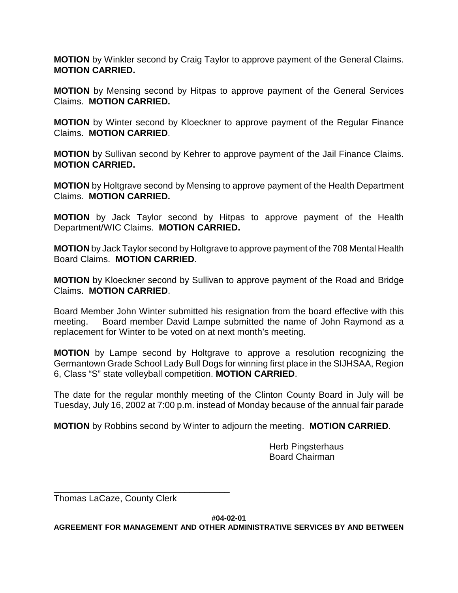**MOTION** by Winkler second by Craig Taylor to approve payment of the General Claims. **MOTION CARRIED.**

**MOTION** by Mensing second by Hitpas to approve payment of the General Services Claims. **MOTION CARRIED.**

**MOTION** by Winter second by Kloeckner to approve payment of the Regular Finance Claims. **MOTION CARRIED**.

**MOTION** by Sullivan second by Kehrer to approve payment of the Jail Finance Claims. **MOTION CARRIED.**

**MOTION** by Holtgrave second by Mensing to approve payment of the Health Department Claims. **MOTION CARRIED.**

**MOTION** by Jack Taylor second by Hitpas to approve payment of the Health Department/WIC Claims. **MOTION CARRIED.**

**MOTION** by Jack Taylor second by Holtgrave to approve payment of the 708 Mental Health Board Claims. **MOTION CARRIED**.

**MOTION** by Kloeckner second by Sullivan to approve payment of the Road and Bridge Claims. **MOTION CARRIED**.

Board Member John Winter submitted his resignation from the board effective with this meeting. Board member David Lampe submitted the name of John Raymond as a replacement for Winter to be voted on at next month's meeting.

**MOTION** by Lampe second by Holtgrave to approve a resolution recognizing the Germantown Grade School Lady Bull Dogs for winning first place in the SIJHSAA, Region 6, Class "S" state volleyball competition. **MOTION CARRIED**.

The date for the regular monthly meeting of the Clinton County Board in July will be Tuesday, July 16, 2002 at 7:00 p.m. instead of Monday because of the annual fair parade

**MOTION** by Robbins second by Winter to adjourn the meeting. **MOTION CARRIED**.

Herb Pingsterhaus Board Chairman

Thomas LaCaze, County Clerk

\_\_\_\_\_\_\_\_\_\_\_\_\_\_\_\_\_\_\_\_\_\_\_\_\_\_\_\_\_\_\_\_\_\_\_

**#04-02-01**

**AGREEMENT FOR MANAGEMENT AND OTHER ADMINISTRATIVE SERVICES BY AND BETWEEN**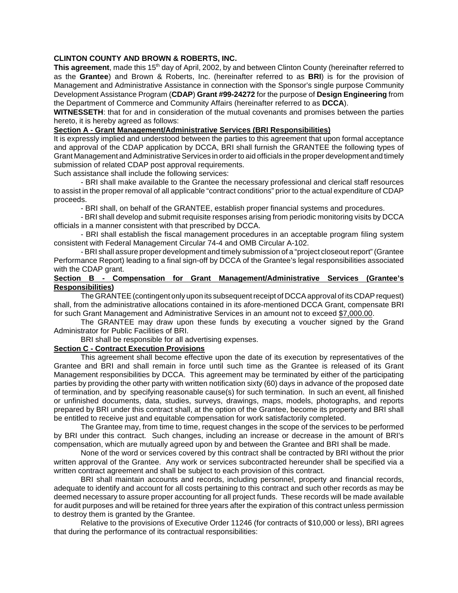### **CLINTON COUNTY AND BROWN & ROBERTS, INC.**

**This agreement**, made this 15<sup>th</sup> day of April, 2002, by and between Clinton County (hereinafter referred to as the **Grantee**) and Brown & Roberts, Inc. (hereinafter referred to as **BRI**) is for the provision of Management and Administrative Assistance in connection with the Sponsor's single purpose Community Development Assistance Program (**CDAP**) **Grant #99-24272** for the purpose of **Design Engineering** from the Department of Commerce and Community Affairs (hereinafter referred to as **DCCA**).

**WITNESSETH**: that for and in consideration of the mutual covenants and promises between the parties hereto, it is hereby agreed as follows:

### **Section A - Grant Management/Administrative Services (BRI Responsibilities)**

It is expressly implied and understood between the parties to this agreement that upon formal acceptance and approval of the CDAP application by DCCA, BRI shall furnish the GRANTEE the following types of Grant Management and Administrative Services in order to aid officials in the proper development and timely submission of related CDAP post approval requirements.

Such assistance shall include the following services:

- BRI shall make available to the Grantee the necessary professional and clerical staff resources to assist in the proper removal of all applicable "contract conditions" prior to the actual expenditure of CDAP proceeds.

- BRI shall, on behalf of the GRANTEE, establish proper financial systems and procedures.

- BRI shall develop and submit requisite responses arising from periodic monitoring visits by DCCA officials in a manner consistent with that prescribed by DCCA.

- BRI shall establish the fiscal management procedures in an acceptable program filing system consistent with Federal Management Circular 74-4 and OMB Circular A-102.

- BRI shall assure proper development and timely submission of a "project closeout report" (Grantee Performance Report) leading to a final sign-off by DCCA of the Grantee's legal responsibilities associated with the CDAP grant.

### **Section B - Compensation for Grant Management/Administrative Services (Grantee's Responsibilities)**

The GRANTEE (contingent only upon its subsequent receipt of DCCA approval of its CDAP request) shall, from the administrative allocations contained in its afore-mentioned DCCA Grant, compensate BRI for such Grant Management and Administrative Services in an amount not to exceed \$7,000.00.

The GRANTEE may draw upon these funds by executing a voucher signed by the Grand Administrator for Public Facilities of BRI.

BRI shall be responsible for all advertising expenses.

### **Section C - Contract Execution Provisions**

This agreement shall become effective upon the date of its execution by representatives of the Grantee and BRI and shall remain in force until such time as the Grantee is released of its Grant Management responsibilities by DCCA. This agreement may be terminated by either of the participating parties by providing the other party with written notification sixty (60) days in advance of the proposed date of termination, and by specifying reasonable cause(s) for such termination. In such an event, all finished or unfinished documents, data, studies, surveys, drawings, maps, models, photographs, and reports prepared by BRI under this contract shall, at the option of the Grantee, become its property and BRI shall be entitled to receive just and equitable compensation for work satisfactorily completed.

The Grantee may, from time to time, request changes in the scope of the services to be performed by BRI under this contract. Such changes, including an increase or decrease in the amount of BRI's compensation, which are mutually agreed upon by and between the Grantee and BRI shall be made.

None of the word or services covered by this contract shall be contracted by BRI without the prior written approval of the Grantee. Any work or services subcontracted hereunder shall be specified via a written contract agreement and shall be subject to each provision of this contract.

BRI shall maintain accounts and records, including personnel, property and financial records, adequate to identify and account for all costs pertaining to this contract and such other records as may be deemed necessary to assure proper accounting for all project funds. These records will be made available for audit purposes and will be retained for three years after the expiration of this contract unless permission to destroy them is granted by the Grantee.

Relative to the provisions of Executive Order 11246 (for contracts of \$10,000 or less), BRI agrees that during the performance of its contractual responsibilities: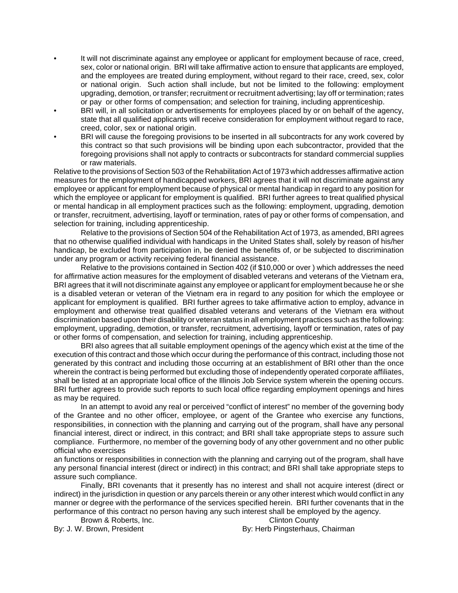- It will not discriminate against any employee or applicant for employment because of race, creed, sex, color or national origin. BRI will take affirmative action to ensure that applicants are employed, and the employees are treated during employment, without regard to their race, creed, sex, color or national origin. Such action shall include, but not be limited to the following: employment upgrading, demotion, or transfer; recruitment or recruitment advertising; lay off or termination; rates or pay or other forms of compensation; and selection for training, including apprenticeship.
- BRI will, in all solicitation or advertisements for employees placed by or on behalf of the agency, state that all qualified applicants will receive consideration for employment without regard to race, creed, color, sex or national origin.
- BRI will cause the foregoing provisions to be inserted in all subcontracts for any work covered by this contract so that such provisions will be binding upon each subcontractor, provided that the foregoing provisions shall not apply to contracts or subcontracts for standard commercial supplies or raw materials.

Relative to the provisions of Section 503 of the Rehabilitation Act of 1973 which addresses affirmative action measures for the employment of handicapped workers, BRI agrees that it will not discriminate against any employee or applicant for employment because of physical or mental handicap in regard to any position for which the employee or applicant for employment is qualified. BRI further agrees to treat qualified physical or mental handicap in all employment practices such as the following: employment, upgrading, demotion or transfer, recruitment, advertising, layoff or termination, rates of pay or other forms of compensation, and selection for training, including apprenticeship.

Relative to the provisions of Section 504 of the Rehabilitation Act of 1973, as amended, BRI agrees that no otherwise qualified individual with handicaps in the United States shall, solely by reason of his/her handicap, be excluded from participation in, be denied the benefits of, or be subjected to discrimination under any program or activity receiving federal financial assistance.

Relative to the provisions contained in Section 402 (if \$10,000 or over ) which addresses the need for affirmative action measures for the employment of disabled veterans and veterans of the Vietnam era, BRI agrees that it will not discriminate against any employee or applicant for employment because he or she is a disabled veteran or veteran of the Vietnam era in regard to any position for which the employee or applicant for employment is qualified. BRI further agrees to take affirmative action to employ, advance in employment and otherwise treat qualified disabled veterans and veterans of the Vietnam era without discrimination based upon their disability or veteran status in all employment practices such as the following: employment, upgrading, demotion, or transfer, recruitment, advertising, layoff or termination, rates of pay or other forms of compensation, and selection for training, including apprenticeship.

BRI also agrees that all suitable employment openings of the agency which exist at the time of the execution of this contract and those which occur during the performance of this contract, including those not generated by this contract and including those occurring at an establishment of BRI other than the once wherein the contract is being performed but excluding those of independently operated corporate affiliates, shall be listed at an appropriate local office of the Illinois Job Service system wherein the opening occurs. BRI further agrees to provide such reports to such local office regarding employment openings and hires as may be required.

In an attempt to avoid any real or perceived "conflict of interest" no member of the governing body of the Grantee and no other officer, employee, or agent of the Grantee who exercise any functions, responsibilities, in connection with the planning and carrying out of the program, shall have any personal financial interest, direct or indirect, in this contract; and BRI shall take appropriate steps to assure such compliance. Furthermore, no member of the governing body of any other government and no other public official who exercises

an functions or responsibilities in connection with the planning and carrying out of the program, shall have any personal financial interest (direct or indirect) in this contract; and BRI shall take appropriate steps to assure such compliance.

Finally, BRI covenants that it presently has no interest and shall not acquire interest (direct or indirect) in the jurisdiction in question or any parcels therein or any other interest which would conflict in any manner or degree with the performance of the services specified herein. BRI further covenants that in the performance of this contract no person having any such interest shall be employed by the agency.

Brown & Roberts, Inc. **Example 20 Clinton County** By: J. W. Brown, President **By: Herb Pingsterhaus, Chairman**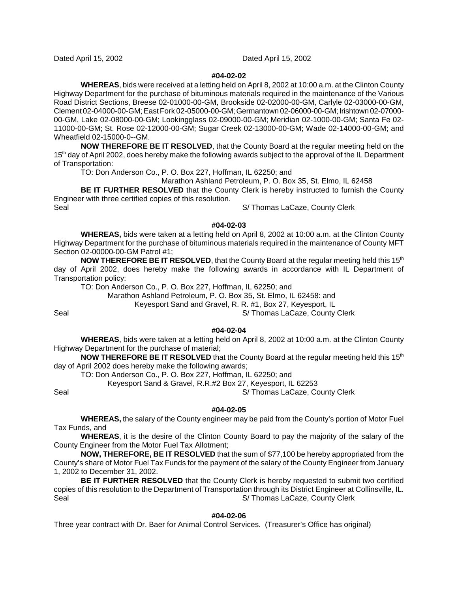Dated April 15, 2002 Dated April 15, 2002

### **#04-02-02**

**WHEREAS**, bids were received at a letting held on April 8, 2002 at 10:00 a.m. at the Clinton County Highway Department for the purchase of bituminous materials required in the maintenance of the Various Road District Sections, Breese 02-01000-00-GM, Brookside 02-02000-00-GM, Carlyle 02-03000-00-GM, Clement 02-04000-00-GM; East Fork 02-05000-00-GM; Germantown 02-06000-00-GM; Irishtown 02-07000- 00-GM, Lake 02-08000-00-GM; Lookingglass 02-09000-00-GM; Meridian 02-1000-00-GM; Santa Fe 02- 11000-00-GM; St. Rose 02-12000-00-GM; Sugar Creek 02-13000-00-GM; Wade 02-14000-00-GM; and Wheatfield 02-15000-0--GM.

**NOW THEREFORE BE IT RESOLVED**, that the County Board at the regular meeting held on the 15<sup>th</sup> day of April 2002, does hereby make the following awards subject to the approval of the IL Department of Transportation:

TO: Don Anderson Co., P. O. Box 227, Hoffman, IL 62250; and

Marathon Ashland Petroleum, P. O. Box 35, St. Elmo, IL 62458

**BE IT FURTHER RESOLVED** that the County Clerk is hereby instructed to furnish the County Engineer with three certified copies of this resolution.

Seal Seal Simple Seal Simple Seal Simple Seal Simple Seal Simple Seal Simple Seal of the Seal of Seal Seal of S

**#04-02-03**

**WHEREAS,** bids were taken at a letting held on April 8, 2002 at 10:00 a.m. at the Clinton County Highway Department for the purchase of bituminous materials required in the maintenance of County MFT Section 02-00000-00-GM Patrol #1;

**NOW THEREFORE BE IT RESOLVED**, that the County Board at the regular meeting held this 15<sup>th</sup>. day of April 2002, does hereby make the following awards in accordance with IL Department of Transportation policy:

TO: Don Anderson Co., P. O. Box 227, Hoffman, IL 62250; and

Marathon Ashland Petroleum, P. O. Box 35, St. Elmo, IL 62458: and

Keyesport Sand and Gravel, R. R. #1, Box 27, Keyesport, IL

Seal Seal Simple S/ Thomas LaCaze, County Clerk

**#04-02-04**

**WHEREAS**, bids were taken at a letting held on April 8, 2002 at 10:00 a.m. at the Clinton County Highway Department for the purchase of material;

**NOW THEREFORE BE IT RESOLVED** that the County Board at the regular meeting held this 15<sup>th</sup> day of April 2002 does hereby make the following awards;

TO: Don Anderson Co., P. O. Box 227, Hoffman, IL 62250; and

Keyesport Sand & Gravel, R.R.#2 Box 27, Keyesport, IL 62253

Seal Seal Simple Seal Simple Strategies School Strategies Strategies Strategies Strategies Strategies Strategies Strategies Strategies Strategies Strategies Strategies Strategies Strategies Strategies Strategies Strategies

### **#04-02-05**

**WHEREAS,** the salary of the County engineer may be paid from the County's portion of Motor Fuel Tax Funds, and

**WHEREAS**, it is the desire of the Clinton County Board to pay the majority of the salary of the County Engineer from the Motor Fuel Tax Allotment;

**NOW, THEREFORE, BE IT RESOLVED** that the sum of \$77,100 be hereby appropriated from the County's share of Motor Fuel Tax Funds for the payment of the salary of the County Engineer from January 1, 2002 to December 31, 2002.

**BE IT FURTHER RESOLVED** that the County Clerk is hereby requested to submit two certified copies of this resolution to the Department of Transportation through its District Engineer at Collinsville, IL. Seal S/ Thomas LaCaze, County Clerk

### **#04-02-06**

Three year contract with Dr. Baer for Animal Control Services. (Treasurer's Office has original)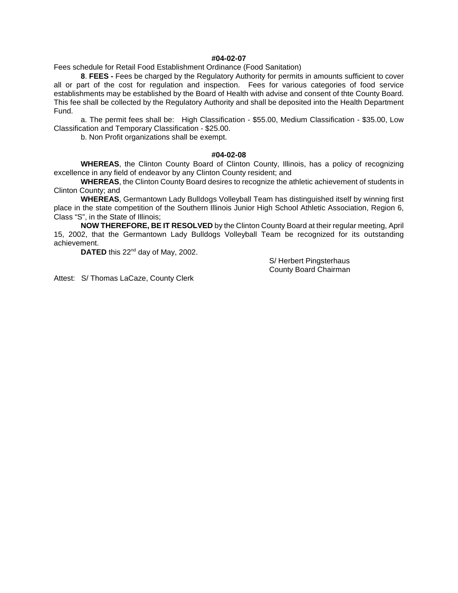### **#04-02-07**

Fees schedule for Retail Food Establishment Ordinance (Food Sanitation)

**8**. **FEES -** Fees be charged by the Regulatory Authority for permits in amounts sufficient to cover all or part of the cost for regulation and inspection. Fees for various categories of food service establishments may be established by the Board of Health with advise and consent of thte County Board. This fee shall be collected by the Regulatory Authority and shall be deposited into the Health Department Fund.

a. The permit fees shall be: High Classification - \$55.00, Medium Classification - \$35.00, Low Classification and Temporary Classification - \$25.00.

b. Non Profit organizations shall be exempt.

#### **#04-02-08**

**WHEREAS**, the Clinton County Board of Clinton County, Illinois, has a policy of recognizing excellence in any field of endeavor by any Clinton County resident; and

**WHEREAS**, the Clinton County Board desires to recognize the athletic achievement of students in Clinton County; and

**WHEREAS**, Germantown Lady Bulldogs Volleyball Team has distinguished itself by winning first place in the state competition of the Southern Illinois Junior High School Athletic Association, Region 6, Class "S", in the State of Illinois;

**NOW THEREFORE, BE IT RESOLVED** by the Clinton County Board at their regular meeting, April 15, 2002, that the Germantown Lady Bulldogs Volleyball Team be recognized for its outstanding achievement.

DATED this 22<sup>nd</sup> day of May, 2002.

S/ Herbert Pingsterhaus County Board Chairman

Attest: S/ Thomas LaCaze, County Clerk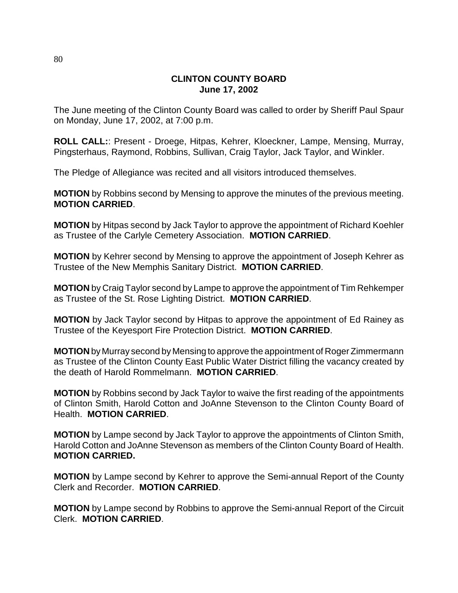## **CLINTON COUNTY BOARD June 17, 2002**

The June meeting of the Clinton County Board was called to order by Sheriff Paul Spaur on Monday, June 17, 2002, at 7:00 p.m.

**ROLL CALL:**: Present - Droege, Hitpas, Kehrer, Kloeckner, Lampe, Mensing, Murray, Pingsterhaus, Raymond, Robbins, Sullivan, Craig Taylor, Jack Taylor, and Winkler.

The Pledge of Allegiance was recited and all visitors introduced themselves.

**MOTION** by Robbins second by Mensing to approve the minutes of the previous meeting. **MOTION CARRIED**.

**MOTION** by Hitpas second by Jack Taylor to approve the appointment of Richard Koehler as Trustee of the Carlyle Cemetery Association. **MOTION CARRIED**.

**MOTION** by Kehrer second by Mensing to approve the appointment of Joseph Kehrer as Trustee of the New Memphis Sanitary District. **MOTION CARRIED**.

**MOTION** by Craig Taylor second by Lampe to approve the appointment of Tim Rehkemper as Trustee of the St. Rose Lighting District. **MOTION CARRIED**.

**MOTION** by Jack Taylor second by Hitpas to approve the appointment of Ed Rainey as Trustee of the Keyesport Fire Protection District. **MOTION CARRIED**.

**MOTION** by Murray second by Mensing to approve the appointment of Roger Zimmermann as Trustee of the Clinton County East Public Water District filling the vacancy created by the death of Harold Rommelmann. **MOTION CARRIED**.

**MOTION** by Robbins second by Jack Taylor to waive the first reading of the appointments of Clinton Smith, Harold Cotton and JoAnne Stevenson to the Clinton County Board of Health. **MOTION CARRIED**.

**MOTION** by Lampe second by Jack Taylor to approve the appointments of Clinton Smith, Harold Cotton and JoAnne Stevenson as members of the Clinton County Board of Health. **MOTION CARRIED.**

**MOTION** by Lampe second by Kehrer to approve the Semi-annual Report of the County Clerk and Recorder. **MOTION CARRIED**.

**MOTION** by Lampe second by Robbins to approve the Semi-annual Report of the Circuit Clerk. **MOTION CARRIED**.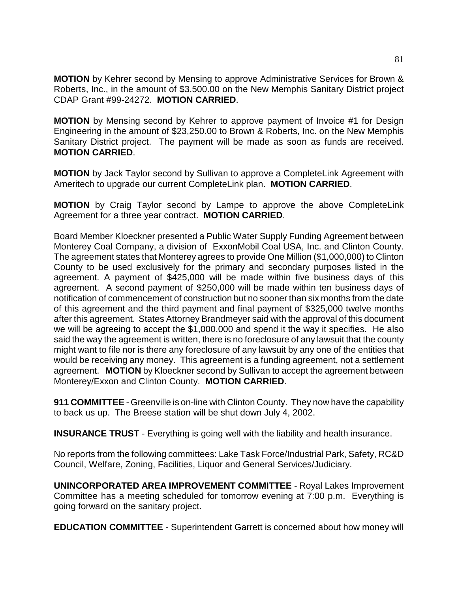**MOTION** by Kehrer second by Mensing to approve Administrative Services for Brown & Roberts, Inc., in the amount of \$3,500.00 on the New Memphis Sanitary District project CDAP Grant #99-24272. **MOTION CARRIED**.

**MOTION** by Mensing second by Kehrer to approve payment of Invoice #1 for Design Engineering in the amount of \$23,250.00 to Brown & Roberts, Inc. on the New Memphis Sanitary District project. The payment will be made as soon as funds are received. **MOTION CARRIED**.

**MOTION** by Jack Taylor second by Sullivan to approve a CompleteLink Agreement with Ameritech to upgrade our current CompleteLink plan. **MOTION CARRIED**.

**MOTION** by Craig Taylor second by Lampe to approve the above CompleteLink Agreement for a three year contract. **MOTION CARRIED**.

Board Member Kloeckner presented a Public Water Supply Funding Agreement between Monterey Coal Company, a division of ExxonMobil Coal USA, Inc. and Clinton County. The agreement states that Monterey agrees to provide One Million (\$1,000,000) to Clinton County to be used exclusively for the primary and secondary purposes listed in the agreement. A payment of \$425,000 will be made within five business days of this agreement. A second payment of \$250,000 will be made within ten business days of notification of commencement of construction but no sooner than six months from the date of this agreement and the third payment and final payment of \$325,000 twelve months after this agreement. States Attorney Brandmeyer said with the approval of this document we will be agreeing to accept the \$1,000,000 and spend it the way it specifies. He also said the way the agreement is written, there is no foreclosure of any lawsuit that the county might want to file nor is there any foreclosure of any lawsuit by any one of the entities that would be receiving any money. This agreement is a funding agreement, not a settlement agreement. **MOTION** by Kloeckner second by Sullivan to accept the agreement between Monterey/Exxon and Clinton County. **MOTION CARRIED**.

**911 COMMITTEE** - Greenville is on-line with Clinton County. They now have the capability to back us up. The Breese station will be shut down July 4, 2002.

**INSURANCE TRUST** - Everything is going well with the liability and health insurance.

No reports from the following committees: Lake Task Force/Industrial Park, Safety, RC&D Council, Welfare, Zoning, Facilities, Liquor and General Services/Judiciary.

**UNINCORPORATED AREA IMPROVEMENT COMMITTEE** - Royal Lakes Improvement Committee has a meeting scheduled for tomorrow evening at 7:00 p.m. Everything is going forward on the sanitary project.

**EDUCATION COMMITTEE** - Superintendent Garrett is concerned about how money will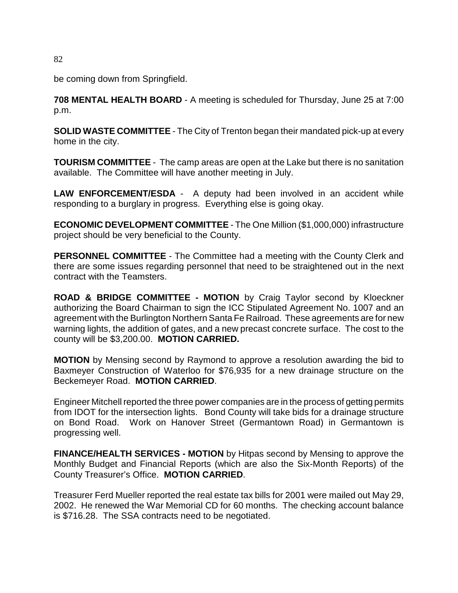be coming down from Springfield.

**708 MENTAL HEALTH BOARD** - A meeting is scheduled for Thursday, June 25 at 7:00 p.m.

**SOLID WASTE COMMITTEE** - The City of Trenton began their mandated pick-up at every home in the city.

**TOURISM COMMITTEE** - The camp areas are open at the Lake but there is no sanitation available. The Committee will have another meeting in July.

**LAW ENFORCEMENT/ESDA** - A deputy had been involved in an accident while responding to a burglary in progress. Everything else is going okay.

**ECONOMIC DEVELOPMENT COMMITTEE** - The One Million (\$1,000,000) infrastructure project should be very beneficial to the County.

**PERSONNEL COMMITTEE** - The Committee had a meeting with the County Clerk and there are some issues regarding personnel that need to be straightened out in the next contract with the Teamsters.

**ROAD & BRIDGE COMMITTEE - MOTION** by Craig Taylor second by Kloeckner authorizing the Board Chairman to sign the ICC Stipulated Agreement No. 1007 and an agreement with the Burlington Northern Santa Fe Railroad. These agreements are for new warning lights, the addition of gates, and a new precast concrete surface. The cost to the county will be \$3,200.00. **MOTION CARRIED.**

**MOTION** by Mensing second by Raymond to approve a resolution awarding the bid to Baxmeyer Construction of Waterloo for \$76,935 for a new drainage structure on the Beckemeyer Road. **MOTION CARRIED**.

Engineer Mitchell reported the three power companies are in the process of getting permits from IDOT for the intersection lights. Bond County will take bids for a drainage structure on Bond Road. Work on Hanover Street (Germantown Road) in Germantown is progressing well.

**FINANCE/HEALTH SERVICES - MOTION** by Hitpas second by Mensing to approve the Monthly Budget and Financial Reports (which are also the Six-Month Reports) of the County Treasurer's Office. **MOTION CARRIED**.

Treasurer Ferd Mueller reported the real estate tax bills for 2001 were mailed out May 29, 2002. He renewed the War Memorial CD for 60 months. The checking account balance is \$716.28. The SSA contracts need to be negotiated.

82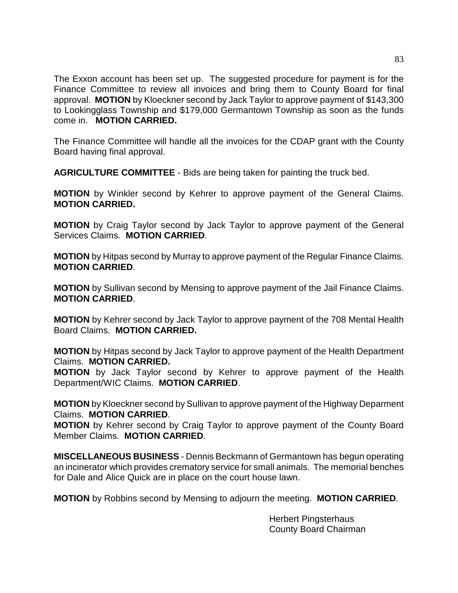The Exxon account has been set up. The suggested procedure for payment is for the Finance Committee to review all invoices and bring them to County Board for final approval. **MOTION** by Kloeckner second by Jack Taylor to approve payment of \$143,300 to Lookingglass Township and \$179,000 Germantown Township as soon as the funds come in. **MOTION CARRIED.**

The Finance Committee will handle all the invoices for the CDAP grant with the County Board having final approval.

**AGRICULTURE COMMITTEE** - Bids are being taken for painting the truck bed.

**MOTION** by Winkler second by Kehrer to approve payment of the General Claims. **MOTION CARRIED.**

**MOTION** by Craig Taylor second by Jack Taylor to approve payment of the General Services Claims. **MOTION CARRIED**.

**MOTION** by Hitpas second by Murray to approve payment of the Regular Finance Claims. **MOTION CARRIED**.

**MOTION** by Sullivan second by Mensing to approve payment of the Jail Finance Claims. **MOTION CARRIED**.

**MOTION** by Kehrer second by Jack Taylor to approve payment of the 708 Mental Health Board Claims. **MOTION CARRIED.**

**MOTION** by Hitpas second by Jack Taylor to approve payment of the Health Department Claims. **MOTION CARRIED.**

**MOTION** by Jack Taylor second by Kehrer to approve payment of the Health Department/WIC Claims. **MOTION CARRIED**.

**MOTION** by Kloeckner second by Sullivan to approve payment of the Highway Deparment Claims. **MOTION CARRIED**.

**MOTION** by Kehrer second by Craig Taylor to approve payment of the County Board Member Claims. **MOTION CARRIED**.

**MISCELLANEOUS BUSINESS** - Dennis Beckmann of Germantown has begun operating an incinerator which provides crematory service for small animals. The memorial benches for Dale and Alice Quick are in place on the court house lawn.

**MOTION** by Robbins second by Mensing to adjourn the meeting. **MOTION CARRIED**.

Herbert Pingsterhaus County Board Chairman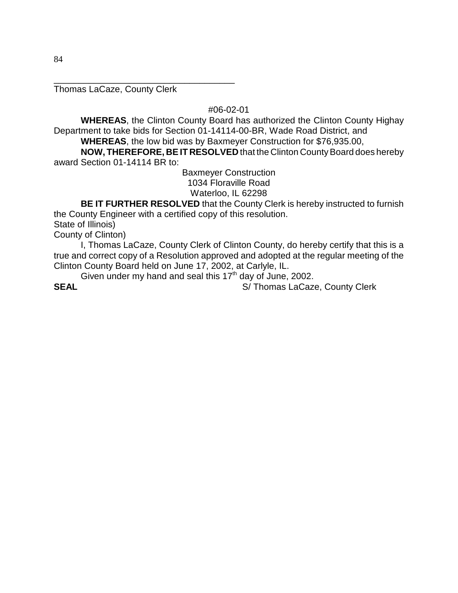Thomas LaCaze, County Clerk

\_\_\_\_\_\_\_\_\_\_\_\_\_\_\_\_\_\_\_\_\_\_\_\_\_\_\_\_\_\_\_\_\_\_\_\_

#06-02-01

**WHEREAS**, the Clinton County Board has authorized the Clinton County Highay Department to take bids for Section 01-14114-00-BR, Wade Road District, and

**WHEREAS**, the low bid was by Baxmeyer Construction for \$76,935.00,

**NOW, THEREFORE, BE IT RESOLVED** that the Clinton County Board does hereby award Section 01-14114 BR to:

> Baxmeyer Construction 1034 Floraville Road Waterloo, IL 62298

**BE IT FURTHER RESOLVED** that the County Clerk is hereby instructed to furnish the County Engineer with a certified copy of this resolution.

State of Illinois)

County of Clinton)

I, Thomas LaCaze, County Clerk of Clinton County, do hereby certify that this is a true and correct copy of a Resolution approved and adopted at the regular meeting of the Clinton County Board held on June 17, 2002, at Carlyle, IL.

Given under my hand and seal this 17<sup>th</sup> day of June, 2002.

**SEAL** S/ Thomas LaCaze, County Clerk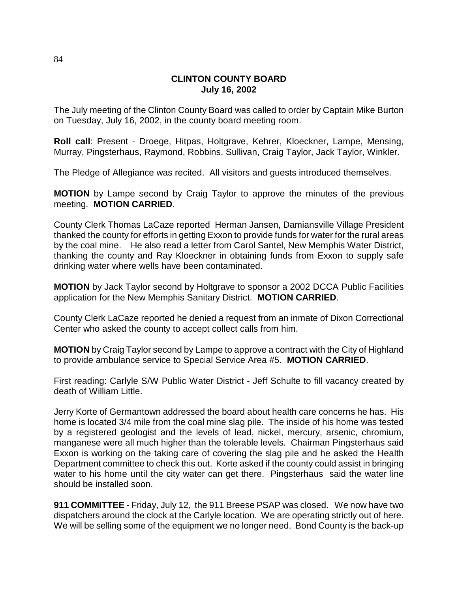## **CLINTON COUNTY BOARD July 16, 2002**

The July meeting of the Clinton County Board was called to order by Captain Mike Burton on Tuesday, July 16, 2002, in the county board meeting room.

**Roll call**: Present - Droege, Hitpas, Holtgrave, Kehrer, Kloeckner, Lampe, Mensing, Murray, Pingsterhaus, Raymond, Robbins, Sullivan, Craig Taylor, Jack Taylor, Winkler.

The Pledge of Allegiance was recited. All visitors and guests introduced themselves.

**MOTION** by Lampe second by Craig Taylor to approve the minutes of the previous meeting. **MOTION CARRIED**.

County Clerk Thomas LaCaze reported Herman Jansen, Damiansville Village President thanked the county for efforts in getting Exxon to provide funds for water for the rural areas by the coal mine. He also read a letter from Carol Santel, New Memphis Water District, thanking the county and Ray Kloeckner in obtaining funds from Exxon to supply safe drinking water where wells have been contaminated.

**MOTION** by Jack Taylor second by Holtgrave to sponsor a 2002 DCCA Public Facilities application for the New Memphis Sanitary District. **MOTION CARRIED**.

County Clerk LaCaze reported he denied a request from an inmate of Dixon Correctional Center who asked the county to accept collect calls from him.

**MOTION** by Craig Taylor second by Lampe to approve a contract with the City of Highland to provide ambulance service to Special Service Area #5. **MOTION CARRIED**.

First reading: Carlyle S/W Public Water District - Jeff Schulte to fill vacancy created by death of William Little.

Jerry Korte of Germantown addressed the board about health care concerns he has. His home is located 3/4 mile from the coal mine slag pile. The inside of his home was tested by a registered geologist and the levels of lead, nickel, mercury, arsenic, chromium, manganese were all much higher than the tolerable levels. Chairman Pingsterhaus said Exxon is working on the taking care of covering the slag pile and he asked the Health Department committee to check this out. Korte asked if the county could assist in bringing water to his home until the city water can get there. Pingsterhaus said the water line should be installed soon.

**911 COMMITTEE** - Friday, July 12, the 911 Breese PSAP was closed. We now have two dispatchers around the clock at the Carlyle location. We are operating strictly out of here. We will be selling some of the equipment we no longer need. Bond County is the back-up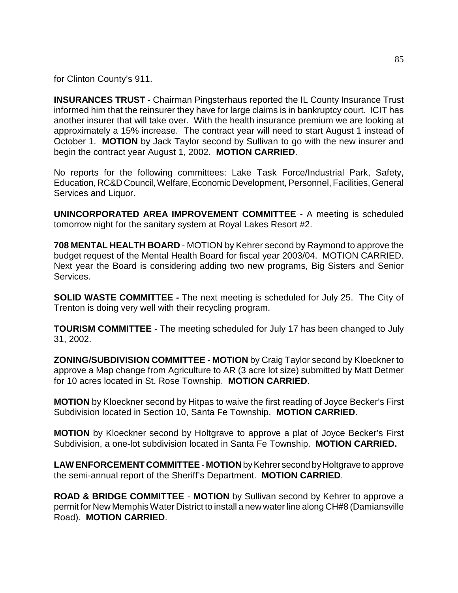for Clinton County's 911.

**INSURANCES TRUST** - Chairman Pingsterhaus reported the IL County Insurance Trust informed him that the reinsurer they have for large claims is in bankruptcy court. ICIT has another insurer that will take over. With the health insurance premium we are looking at approximately a 15% increase. The contract year will need to start August 1 instead of October 1. **MOTION** by Jack Taylor second by Sullivan to go with the new insurer and begin the contract year August 1, 2002. **MOTION CARRIED**.

No reports for the following committees: Lake Task Force/Industrial Park, Safety, Education, RC&D Council, Welfare, Economic Development, Personnel, Facilities, General Services and Liquor.

**UNINCORPORATED AREA IMPROVEMENT COMMITTEE** - A meeting is scheduled tomorrow night for the sanitary system at Royal Lakes Resort #2.

**708 MENTAL HEALTH BOARD** - MOTION by Kehrer second by Raymond to approve the budget request of the Mental Health Board for fiscal year 2003/04. MOTION CARRIED. Next year the Board is considering adding two new programs, Big Sisters and Senior Services.

**SOLID WASTE COMMITTEE -** The next meeting is scheduled for July 25. The City of Trenton is doing very well with their recycling program.

**TOURISM COMMITTEE** - The meeting scheduled for July 17 has been changed to July 31, 2002.

**ZONING/SUBDIVISION COMMITTEE** - **MOTION** by Craig Taylor second by Kloeckner to approve a Map change from Agriculture to AR (3 acre lot size) submitted by Matt Detmer for 10 acres located in St. Rose Township. **MOTION CARRIED**.

**MOTION** by Kloeckner second by Hitpas to waive the first reading of Joyce Becker's First Subdivision located in Section 10, Santa Fe Township. **MOTION CARRIED**.

**MOTION** by Kloeckner second by Holtgrave to approve a plat of Joyce Becker's First Subdivision, a one-lot subdivision located in Santa Fe Township. **MOTION CARRIED.**

**LAW ENFORCEMENT COMMITTEE** - **MOTION** by Kehrer second by Holtgrave to approve the semi-annual report of the Sheriff's Department. **MOTION CARRIED**.

**ROAD & BRIDGE COMMITTEE** - **MOTION** by Sullivan second by Kehrer to approve a permit for New Memphis Water District to install a new water line along CH#8 (Damiansville Road). **MOTION CARRIED**.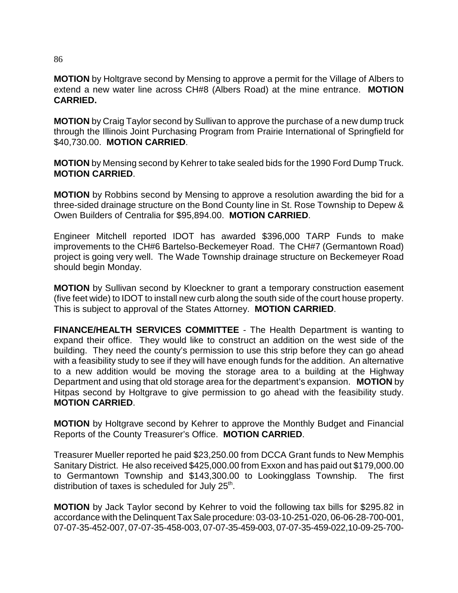**MOTION** by Holtgrave second by Mensing to approve a permit for the Village of Albers to extend a new water line across CH#8 (Albers Road) at the mine entrance. **MOTION CARRIED.**

**MOTION** by Craig Taylor second by Sullivan to approve the purchase of a new dump truck through the Illinois Joint Purchasing Program from Prairie International of Springfield for \$40,730.00. **MOTION CARRIED**.

**MOTION** by Mensing second by Kehrer to take sealed bids for the 1990 Ford Dump Truck. **MOTION CARRIED**.

**MOTION** by Robbins second by Mensing to approve a resolution awarding the bid for a three-sided drainage structure on the Bond County line in St. Rose Township to Depew & Owen Builders of Centralia for \$95,894.00. **MOTION CARRIED**.

Engineer Mitchell reported IDOT has awarded \$396,000 TARP Funds to make improvements to the CH#6 Bartelso-Beckemeyer Road. The CH#7 (Germantown Road) project is going very well. The Wade Township drainage structure on Beckemeyer Road should begin Monday.

**MOTION** by Sullivan second by Kloeckner to grant a temporary construction easement (five feet wide) to IDOT to install new curb along the south side of the court house property. This is subject to approval of the States Attorney. **MOTION CARRIED**.

**FINANCE/HEALTH SERVICES COMMITTEE** - The Health Department is wanting to expand their office. They would like to construct an addition on the west side of the building. They need the county's permission to use this strip before they can go ahead with a feasibility study to see if they will have enough funds for the addition. An alternative to a new addition would be moving the storage area to a building at the Highway Department and using that old storage area for the department's expansion. **MOTION** by Hitpas second by Holtgrave to give permission to go ahead with the feasibility study. **MOTION CARRIED**.

**MOTION** by Holtgrave second by Kehrer to approve the Monthly Budget and Financial Reports of the County Treasurer's Office. **MOTION CARRIED**.

Treasurer Mueller reported he paid \$23,250.00 from DCCA Grant funds to New Memphis Sanitary District. He also received \$425,000.00 from Exxon and has paid out \$179,000.00 to Germantown Township and \$143,300.00 to Lookingglass Township. The first distribution of taxes is scheduled for July 25<sup>th</sup>.

**MOTION** by Jack Taylor second by Kehrer to void the following tax bills for \$295.82 in accordance with the Delinquent Tax Sale procedure: 03-03-10-251-020, 06-06-28-700-001, 07-07-35-452-007, 07-07-35-458-003, 07-07-35-459-003, 07-07-35-459-022,10-09-25-700-

86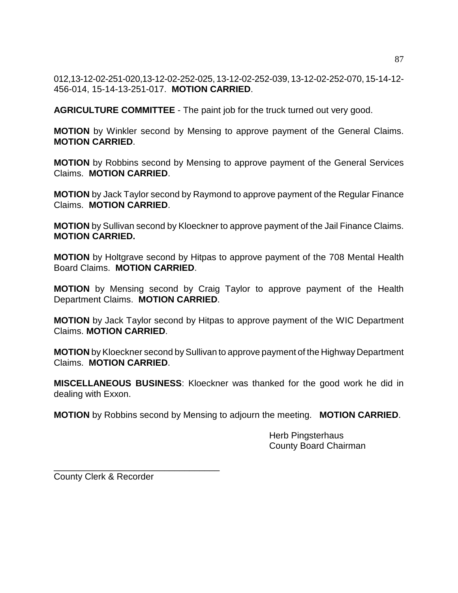012,13-12-02-251-020,13-12-02-252-025, 13-12-02-252-039, 13-12-02-252-070, 15-14-12- 456-014, 15-14-13-251-017. **MOTION CARRIED**.

**AGRICULTURE COMMITTEE** - The paint job for the truck turned out very good.

**MOTION** by Winkler second by Mensing to approve payment of the General Claims. **MOTION CARRIED**.

**MOTION** by Robbins second by Mensing to approve payment of the General Services Claims. **MOTION CARRIED**.

**MOTION** by Jack Taylor second by Raymond to approve payment of the Regular Finance Claims. **MOTION CARRIED**.

**MOTION** by Sullivan second by Kloeckner to approve payment of the Jail Finance Claims. **MOTION CARRIED.**

**MOTION** by Holtgrave second by Hitpas to approve payment of the 708 Mental Health Board Claims. **MOTION CARRIED**.

**MOTION** by Mensing second by Craig Taylor to approve payment of the Health Department Claims. **MOTION CARRIED**.

**MOTION** by Jack Taylor second by Hitpas to approve payment of the WIC Department Claims. **MOTION CARRIED**.

**MOTION** by Kloeckner second by Sullivan to approve payment of the Highway Department Claims. **MOTION CARRIED**.

**MISCELLANEOUS BUSINESS**: Kloeckner was thanked for the good work he did in dealing with Exxon.

**MOTION** by Robbins second by Mensing to adjourn the meeting. **MOTION CARRIED**.

Herb Pingsterhaus County Board Chairman

County Clerk & Recorder

\_\_\_\_\_\_\_\_\_\_\_\_\_\_\_\_\_\_\_\_\_\_\_\_\_\_\_\_\_\_\_\_\_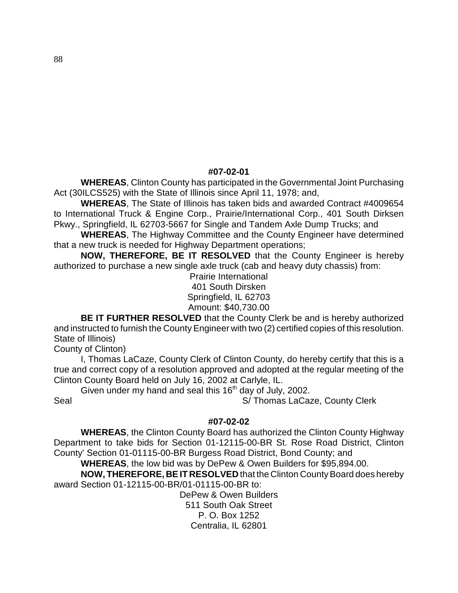### **#07-02-01**

**WHEREAS**, Clinton County has participated in the Governmental Joint Purchasing Act (30ILCS525) with the State of Illinois since April 11, 1978; and,

**WHEREAS**, The State of Illinois has taken bids and awarded Contract #4009654 to International Truck & Engine Corp., Prairie/International Corp., 401 South Dirksen Pkwy., Springfield, IL 62703-5667 for Single and Tandem Axle Dump Trucks; and

**WHEREAS**, The Highway Committee and the County Engineer have determined that a new truck is needed for Highway Department operations;

**NOW, THEREFORE, BE IT RESOLVED** that the County Engineer is hereby authorized to purchase a new single axle truck (cab and heavy duty chassis) from:

> Prairie International 401 South Dirsken Springfield, IL 62703 Amount: \$40,730.00

**BE IT FURTHER RESOLVED** that the County Clerk be and is hereby authorized and instructed to furnish the County Engineer with two (2) certified copies of this resolution. State of Illinois)

County of Clinton)

I, Thomas LaCaze, County Clerk of Clinton County, do hereby certify that this is a true and correct copy of a resolution approved and adopted at the regular meeting of the Clinton County Board held on July 16, 2002 at Carlyle, IL.

Given under my hand and seal this  $16<sup>th</sup>$  day of July, 2002.

Seal Seal Seal Seal Simple S/ Thomas LaCaze, County Clerk

### **#07-02-02**

**WHEREAS**, the Clinton County Board has authorized the Clinton County Highway Department to take bids for Section 01-12115-00-BR St. Rose Road District, Clinton County' Section 01-01115-00-BR Burgess Road District, Bond County; and

**WHEREAS**, the low bid was by DePew & Owen Builders for \$95,894.00.

**NOW, THEREFORE, BE IT RESOLVED** that the Clinton County Board does hereby award Section 01-12115-00-BR/01-01115-00-BR to:

> DePew & Owen Builders 511 South Oak Street P. O. Box 1252 Centralia, IL 62801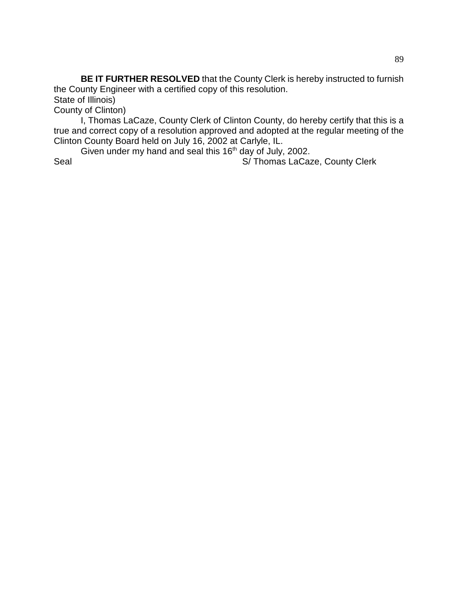**BE IT FURTHER RESOLVED** that the County Clerk is hereby instructed to furnish the County Engineer with a certified copy of this resolution.

State of Illinois)

County of Clinton)

I, Thomas LaCaze, County Clerk of Clinton County, do hereby certify that this is a true and correct copy of a resolution approved and adopted at the regular meeting of the Clinton County Board held on July 16, 2002 at Carlyle, IL.

Given under my hand and seal this  $16<sup>th</sup>$  day of July, 2002.

Seal Seal S/ Thomas LaCaze, County Clerk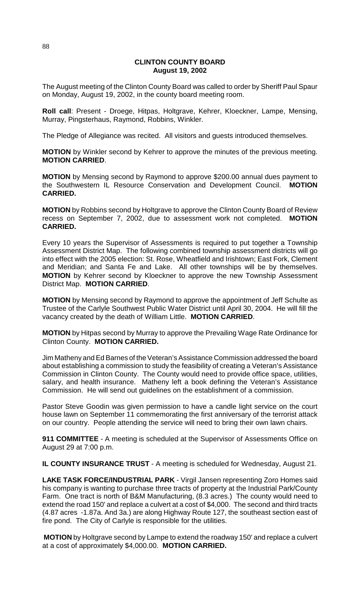### **CLINTON COUNTY BOARD August 19, 2002**

The August meeting of the Clinton County Board was called to order by Sheriff Paul Spaur on Monday, August 19, 2002, in the county board meeting room.

**Roll call**: Present - Droege, Hitpas, Holtgrave, Kehrer, Kloeckner, Lampe, Mensing, Murray, Pingsterhaus, Raymond, Robbins, Winkler.

The Pledge of Allegiance was recited. All visitors and guests introduced themselves.

**MOTION** by Winkler second by Kehrer to approve the minutes of the previous meeting. **MOTION CARRIED**.

**MOTION** by Mensing second by Raymond to approve \$200.00 annual dues payment to the Southwestern IL Resource Conservation and Development Council. **MOTION CARRIED.**

**MOTION** by Robbins second by Holtgrave to approve the Clinton County Board of Review recess on September 7, 2002, due to assessment work not completed. **MOTION CARRIED.**

Every 10 years the Supervisor of Assessments is required to put together a Township Assessment District Map. The following combined township assessment districts will go into effect with the 2005 election: St. Rose, Wheatfield and Irishtown; East Fork, Clement and Meridian; and Santa Fe and Lake. All other townships will be by themselves. **MOTION** by Kehrer second by Kloeckner to approve the new Township Assessment District Map. **MOTION CARRIED**.

**MOTION** by Mensing second by Raymond to approve the appointment of Jeff Schulte as Trustee of the Carlyle Southwest Public Water District until April 30, 2004. He will fill the vacancy created by the death of William Little. **MOTION CARRIED**.

**MOTION** by Hitpas second by Murray to approve the Prevailing Wage Rate Ordinance for Clinton County. **MOTION CARRIED.**

Jim Matheny and Ed Barnes of the Veteran's Assistance Commission addressed the board about establishing a commission to study the feasibility of creating a Veteran's Assistance Commission in Clinton County. The County would need to provide office space, utilities, salary, and health insurance. Matheny left a book defining the Veteran's Assistance Commission. He will send out guidelines on the establishment of a commission.

Pastor Steve Goodin was given permission to have a candle light service on the court house lawn on September 11 commemorating the first anniversary of the terrorist attack on our country. People attending the service will need to bring their own lawn chairs.

**911 COMMITTEE** - A meeting is scheduled at the Supervisor of Assessments Office on August 29 at 7:00 p.m.

**IL COUNTY INSURANCE TRUST** - A meeting is scheduled for Wednesday, August 21.

**LAKE TASK FORCE/INDUSTRIAL PARK** - Virgil Jansen representing Zoro Homes said his company is wanting to purchase three tracts of property at the Industrial Park/County Farm. One tract is north of B&M Manufacturing, (8.3 acres.) The county would need to extend the road 150' and replace a culvert at a cost of \$4,000. The second and third tracts (4.87 acres -1.87a. And 3a.) are along Highway Route 127, the southeast section east of fire pond. The City of Carlyle is responsible for the utilities.

**MOTION** by Holtgrave second by Lampe to extend the roadway 150' and replace a culvert at a cost of approximately \$4,000.00. **MOTION CARRIED.**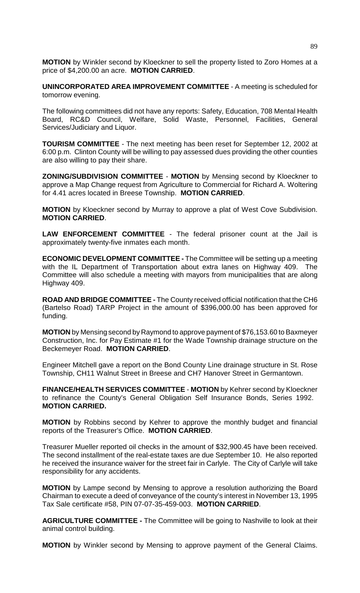**MOTION** by Winkler second by Kloeckner to sell the property listed to Zoro Homes at a price of \$4,200.00 an acre. **MOTION CARRIED**.

**UNINCORPORATED AREA IMPROVEMENT COMMITTEE** - A meeting is scheduled for tomorrow evening.

The following committees did not have any reports: Safety, Education, 708 Mental Health Board, RC&D Council, Welfare, Solid Waste, Personnel, Facilities, General Services/Judiciary and Liquor.

**TOURISM COMMITTEE** - The next meeting has been reset for September 12, 2002 at 6:00 p.m. Clinton County will be willing to pay assessed dues providing the other counties are also willing to pay their share.

**ZONING/SUBDIVISION COMMITTEE** - **MOTION** by Mensing second by Kloeckner to approve a Map Change request from Agriculture to Commercial for Richard A. Woltering for 4.41 acres located in Breese Township. **MOTION CARRIED**.

**MOTION** by Kloeckner second by Murray to approve a plat of West Cove Subdivision. **MOTION CARRIED**.

**LAW ENFORCEMENT COMMITTEE** - The federal prisoner count at the Jail is approximately twenty-five inmates each month.

**ECONOMIC DEVELOPMENT COMMITTEE -** The Committee will be setting up a meeting with the IL Department of Transportation about extra lanes on Highway 409. The Committee will also schedule a meeting with mayors from municipalities that are along Highway 409.

**ROAD AND BRIDGE COMMITTEE -** The County received official notification that the CH6 (Bartelso Road) TARP Project in the amount of \$396,000.00 has been approved for funding.

**MOTION** by Mensing second by Raymond to approve payment of \$76,153.60 to Baxmeyer Construction, Inc. for Pay Estimate #1 for the Wade Township drainage structure on the Beckemeyer Road. **MOTION CARRIED**.

Engineer Mitchell gave a report on the Bond County Line drainage structure in St. Rose Township, CH11 Walnut Street in Breese and CH7 Hanover Street in Germantown.

**FINANCE/HEALTH SERVICES COMMITTEE** - **MOTION** by Kehrer second by Kloeckner to refinance the County's General Obligation Self Insurance Bonds, Series 1992. **MOTION CARRIED.**

**MOTION** by Robbins second by Kehrer to approve the monthly budget and financial reports of the Treasurer's Office. **MOTION CARRIED**.

Treasurer Mueller reported oil checks in the amount of \$32,900.45 have been received. The second installment of the real-estate taxes are due September 10. He also reported he received the insurance waiver for the street fair in Carlyle. The City of Carlyle will take responsibility for any accidents.

**MOTION** by Lampe second by Mensing to approve a resolution authorizing the Board Chairman to execute a deed of conveyance of the county's interest in November 13, 1995 Tax Sale certificate #58, PIN 07-07-35-459-003. **MOTION CARRIED**.

**AGRICULTURE COMMITTEE -** The Committee will be going to Nashville to look at their animal control building.

**MOTION** by Winkler second by Mensing to approve payment of the General Claims.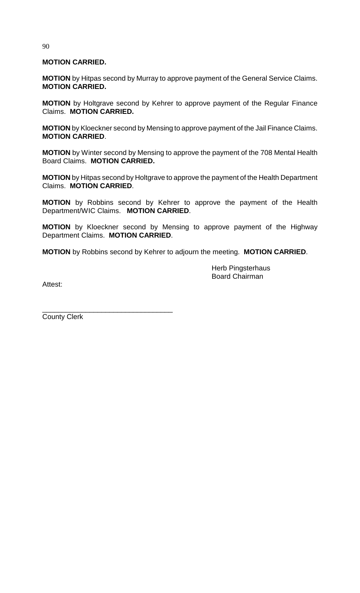# **MOTION CARRIED.**

**MOTION** by Hitpas second by Murray to approve payment of the General Service Claims. **MOTION CARRIED.**

**MOTION** by Holtgrave second by Kehrer to approve payment of the Regular Finance Claims. **MOTION CARRIED.**

**MOTION** by Kloeckner second by Mensing to approve payment of the Jail Finance Claims. **MOTION CARRIED**.

**MOTION** by Winter second by Mensing to approve the payment of the 708 Mental Health Board Claims. **MOTION CARRIED.**

**MOTION** by Hitpas second by Holtgrave to approve the payment of the Health Department Claims. **MOTION CARRIED**.

**MOTION** by Robbins second by Kehrer to approve the payment of the Health Department/WIC Claims. **MOTION CARRIED**.

**MOTION** by Kloeckner second by Mensing to approve payment of the Highway Department Claims. **MOTION CARRIED**.

**MOTION** by Robbins second by Kehrer to adjourn the meeting. **MOTION CARRIED**.

Herb Pingsterhaus Board Chairman

Attest:

County Clerk

\_\_\_\_\_\_\_\_\_\_\_\_\_\_\_\_\_\_\_\_\_\_\_\_\_\_\_\_\_\_\_\_\_

90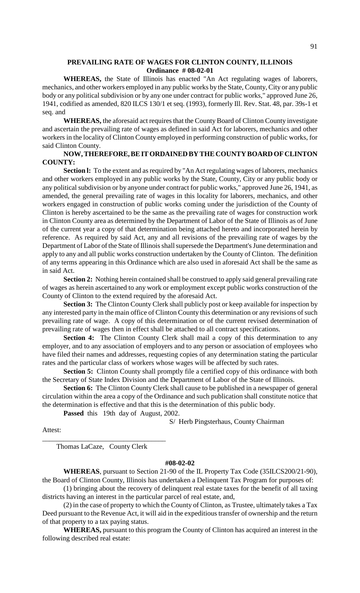### **PREVAILING RATE OF WAGES FOR CLINTON COUNTY, ILLINOIS Ordinance # 08-02-01**

**WHEREAS,** the State of Illinois has enacted "An Act regulating wages of laborers, mechanics, and other workers employed in any public works by the State, County, City or any public body or any political subdivision or by any one under contract for public works," approved June 26, 1941, codified as amended, 820 ILCS 130/1 et seq. (1993), formerly Ill. Rev. Stat. 48, par. 39s-1 et seq. and

**WHEREAS,** the aforesaid act requires that the County Board of Clinton County investigate and ascertain the prevailing rate of wages as defined in said Act for laborers, mechanics and other workers in the locality of Clinton County employed in performing construction of public works, for said Clinton County.

## **NOW, THEREFORE, BE IT ORDAINED BY THE COUNTY BOARD OF CLINTON COUNTY:**

Section 1: To the extent and as required by "An Act regulating wages of laborers, mechanics and other workers employed in any public works by the State, County, City or any public body or any political subdivision or by anyone under contract for public works," approved June 26, 1941, as amended, the general prevailing rate of wages in this locality for laborers, mechanics, and other workers engaged in construction of public works coming under the jurisdiction of the County of Clinton is hereby ascertained to be the same as the prevailing rate of wages for construction work in Clinton County area as determined by the Department of Labor of the State of Illinois as of June of the current year a copy of that determination being attached hereto and incorporated herein by reference. As required by said Act, any and all revisions of the prevailing rate of wages by the Department of Labor of the State of Illinois shall supersede the Department's June determination and apply to any and all public works construction undertaken by the County of Clinton. The definition of any terms appearing in this Ordinance which are also used in aforesaid Act shall be the same as in said Act.

**Section 2:** Nothing herein contained shall be construed to apply said general prevailing rate of wages as herein ascertained to any work or employment except public works construction of the County of Clinton to the extend required by the aforesaid Act.

**Section 3:** The Clinton County Clerk shall publicly post or keep available for inspection by any interested party in the main office of Clinton County this determination or any revisions of such prevailing rate of wage. A copy of this determination or of the current revised determination of prevailing rate of wages then in effect shall be attached to all contract specifications.

**Section 4:** The Clinton County Clerk shall mail a copy of this determination to any employer, and to any association of employers and to any person or association of employees who have filed their names and addresses, requesting copies of any determination stating the particular rates and the particular class of workers whose wages will be affected by such rates.

**Section 5:** Clinton County shall promptly file a certified copy of this ordinance with both the Secretary of State Index Division and the Department of Labor of the State of Illinois.

**Section 6:** The Clinton County Clerk shall cause to be published in a newspaper of general circulation within the area a copy of the Ordinance and such publication shall constitute notice that the determination is effective and that this is the determination of this public body.

**Passed** this 19th day of August, 2002.

S/ Herb Pingsterhaus, County Chairman

Attest:

\_\_\_\_\_\_\_\_\_\_\_\_\_\_\_\_\_\_\_\_\_\_\_\_\_\_\_\_\_\_\_\_\_\_\_ Thomas LaCaze, County Clerk

### **#08-02-02**

**WHEREAS**, pursuant to Section 21-90 of the IL Property Tax Code (35ILCS200/21-90), the Board of Clinton County, Illinois has undertaken a Delinquent Tax Program for purposes of:

(1) bringing about the recovery of delinquent real estate taxes for the benefit of all taxing districts having an interest in the particular parcel of real estate, and,

(2) in the case of property to which the County of Clinton, as Trustee, ultimately takes a Tax Deed pursuant to the Revenue Act, it will aid in the expeditious transfer of ownership and the return of that property to a tax paying status.

**WHEREAS,** pursuant to this program the County of Clinton has acquired an interest in the following described real estate: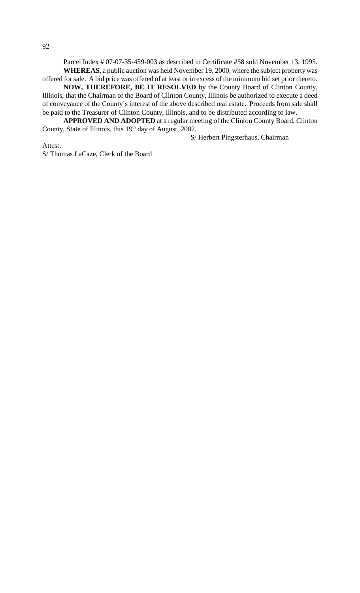Parcel Index # 07-07-35-459-003 as described in Certificate #58 sold November 13, 1995. **WHEREAS**, a public auction was held November 19, 2000, where the subject property was offered for sale. A bid price was offered of at least or in excess of the minimum bid set prior thereto.

**NOW, THEREFORE, BE IT RESOLVED** by the County Board of Clinton County, Illinois, that the Chairman of the Board of Clinton County, Illinois be authorized to execute a deed of conveyance of the County's interest of the above described real estate. Proceeds from sale shall be paid to the Treasurer of Clinton County, Illinois, and to be distributed according to law.

**APPROVED AND ADOPTED** at a regular meeting of the Clinton County Board, Clinton County, State of Illinois, this 19<sup>th</sup> day of August, 2002.

S/ Herbert Pingsterhaus, Chairman

Attest: S/ Thomas LaCaze, Clerk of the Board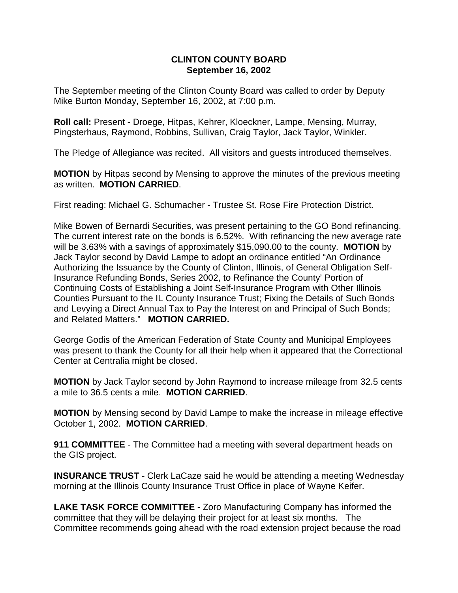### **CLINTON COUNTY BOARD September 16, 2002**

The September meeting of the Clinton County Board was called to order by Deputy Mike Burton Monday, September 16, 2002, at 7:00 p.m.

**Roll call:** Present - Droege, Hitpas, Kehrer, Kloeckner, Lampe, Mensing, Murray, Pingsterhaus, Raymond, Robbins, Sullivan, Craig Taylor, Jack Taylor, Winkler.

The Pledge of Allegiance was recited. All visitors and guests introduced themselves.

**MOTION** by Hitpas second by Mensing to approve the minutes of the previous meeting as written. **MOTION CARRIED**.

First reading: Michael G. Schumacher - Trustee St. Rose Fire Protection District.

Mike Bowen of Bernardi Securities, was present pertaining to the GO Bond refinancing. The current interest rate on the bonds is 6.52%. With refinancing the new average rate will be 3.63% with a savings of approximately \$15,090.00 to the county. **MOTION** by Jack Taylor second by David Lampe to adopt an ordinance entitled "An Ordinance Authorizing the Issuance by the County of Clinton, Illinois, of General Obligation Self-Insurance Refunding Bonds, Series 2002, to Refinance the County' Portion of Continuing Costs of Establishing a Joint Self-Insurance Program with Other Illinois Counties Pursuant to the IL County Insurance Trust; Fixing the Details of Such Bonds and Levying a Direct Annual Tax to Pay the Interest on and Principal of Such Bonds; and Related Matters." **MOTION CARRIED.**

George Godis of the American Federation of State County and Municipal Employees was present to thank the County for all their help when it appeared that the Correctional Center at Centralia might be closed.

**MOTION** by Jack Taylor second by John Raymond to increase mileage from 32.5 cents a mile to 36.5 cents a mile. **MOTION CARRIED**.

**MOTION** by Mensing second by David Lampe to make the increase in mileage effective October 1, 2002. **MOTION CARRIED**.

**911 COMMITTEE** - The Committee had a meeting with several department heads on the GIS project.

**INSURANCE TRUST** - Clerk LaCaze said he would be attending a meeting Wednesday morning at the Illinois County Insurance Trust Office in place of Wayne Keifer.

**LAKE TASK FORCE COMMITTEE** - Zoro Manufacturing Company has informed the committee that they will be delaying their project for at least six months. The Committee recommends going ahead with the road extension project because the road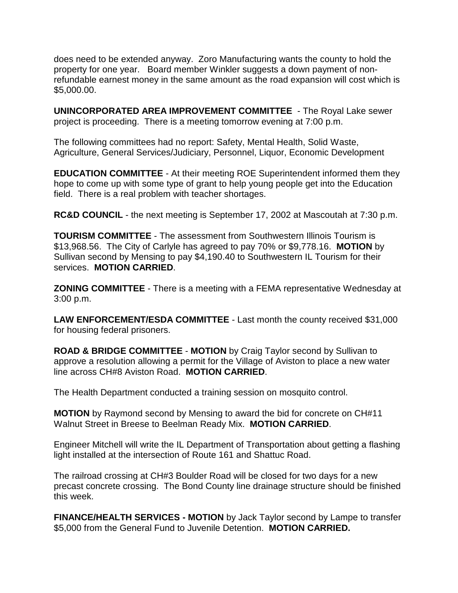does need to be extended anyway. Zoro Manufacturing wants the county to hold the property for one year. Board member Winkler suggests a down payment of nonrefundable earnest money in the same amount as the road expansion will cost which is \$5,000.00.

**UNINCORPORATED AREA IMPROVEMENT COMMITTEE** - The Royal Lake sewer project is proceeding. There is a meeting tomorrow evening at 7:00 p.m.

The following committees had no report: Safety, Mental Health, Solid Waste, Agriculture, General Services/Judiciary, Personnel, Liquor, Economic Development

**EDUCATION COMMITTEE** - At their meeting ROE Superintendent informed them they hope to come up with some type of grant to help young people get into the Education field. There is a real problem with teacher shortages.

**RC&D COUNCIL** - the next meeting is September 17, 2002 at Mascoutah at 7:30 p.m.

**TOURISM COMMITTEE** - The assessment from Southwestern Illinois Tourism is \$13,968.56. The City of Carlyle has agreed to pay 70% or \$9,778.16. **MOTION** by Sullivan second by Mensing to pay \$4,190.40 to Southwestern IL Tourism for their services. **MOTION CARRIED**.

**ZONING COMMITTEE** - There is a meeting with a FEMA representative Wednesday at 3:00 p.m.

**LAW ENFORCEMENT/ESDA COMMITTEE** - Last month the county received \$31,000 for housing federal prisoners.

**ROAD & BRIDGE COMMITTEE** - **MOTION** by Craig Taylor second by Sullivan to approve a resolution allowing a permit for the Village of Aviston to place a new water line across CH#8 Aviston Road. **MOTION CARRIED**.

The Health Department conducted a training session on mosquito control.

**MOTION** by Raymond second by Mensing to award the bid for concrete on CH#11 Walnut Street in Breese to Beelman Ready Mix. **MOTION CARRIED**.

Engineer Mitchell will write the IL Department of Transportation about getting a flashing light installed at the intersection of Route 161 and Shattuc Road.

The railroad crossing at CH#3 Boulder Road will be closed for two days for a new precast concrete crossing. The Bond County line drainage structure should be finished this week.

**FINANCE/HEALTH SERVICES - MOTION** by Jack Taylor second by Lampe to transfer \$5,000 from the General Fund to Juvenile Detention. **MOTION CARRIED.**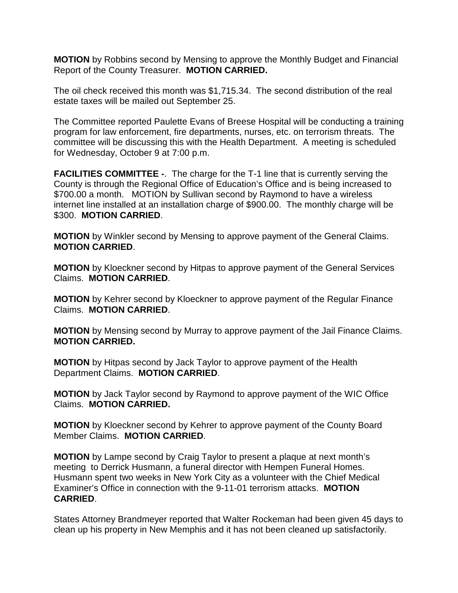**MOTION** by Robbins second by Mensing to approve the Monthly Budget and Financial Report of the County Treasurer. **MOTION CARRIED.**

The oil check received this month was \$1,715.34. The second distribution of the real estate taxes will be mailed out September 25.

The Committee reported Paulette Evans of Breese Hospital will be conducting a training program for law enforcement, fire departments, nurses, etc. on terrorism threats. The committee will be discussing this with the Health Department. A meeting is scheduled for Wednesday, October 9 at 7:00 p.m.

**FACILITIES COMMITTEE -**. The charge for the T-1 line that is currently serving the County is through the Regional Office of Education's Office and is being increased to \$700.00 a month. MOTION by Sullivan second by Raymond to have a wireless internet line installed at an installation charge of \$900.00. The monthly charge will be \$300. **MOTION CARRIED**.

**MOTION** by Winkler second by Mensing to approve payment of the General Claims. **MOTION CARRIED**.

**MOTION** by Kloeckner second by Hitpas to approve payment of the General Services Claims. **MOTION CARRIED**.

**MOTION** by Kehrer second by Kloeckner to approve payment of the Regular Finance Claims. **MOTION CARRIED**.

**MOTION** by Mensing second by Murray to approve payment of the Jail Finance Claims. **MOTION CARRIED.**

**MOTION** by Hitpas second by Jack Taylor to approve payment of the Health Department Claims. **MOTION CARRIED**.

**MOTION** by Jack Taylor second by Raymond to approve payment of the WIC Office Claims. **MOTION CARRIED.**

**MOTION** by Kloeckner second by Kehrer to approve payment of the County Board Member Claims. **MOTION CARRIED**.

**MOTION** by Lampe second by Craig Taylor to present a plaque at next month's meeting to Derrick Husmann, a funeral director with Hempen Funeral Homes. Husmann spent two weeks in New York City as a volunteer with the Chief Medical Examiner's Office in connection with the 9-11-01 terrorism attacks. **MOTION CARRIED**.

States Attorney Brandmeyer reported that Walter Rockeman had been given 45 days to clean up his property in New Memphis and it has not been cleaned up satisfactorily.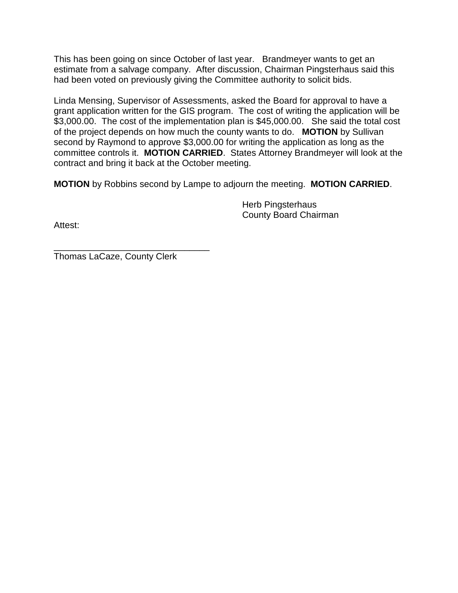This has been going on since October of last year. Brandmeyer wants to get an estimate from a salvage company. After discussion, Chairman Pingsterhaus said this had been voted on previously giving the Committee authority to solicit bids.

Linda Mensing, Supervisor of Assessments, asked the Board for approval to have a grant application written for the GIS program. The cost of writing the application will be \$3,000.00. The cost of the implementation plan is \$45,000.00. She said the total cost of the project depends on how much the county wants to do. **MOTION** by Sullivan second by Raymond to approve \$3,000.00 for writing the application as long as the committee controls it. **MOTION CARRIED**. States Attorney Brandmeyer will look at the contract and bring it back at the October meeting.

**MOTION** by Robbins second by Lampe to adjourn the meeting. **MOTION CARRIED**.

Herb Pingsterhaus County Board Chairman

Attest:

\_\_\_\_\_\_\_\_\_\_\_\_\_\_\_\_\_\_\_\_\_\_\_\_\_\_\_\_\_\_\_ Thomas LaCaze, County Clerk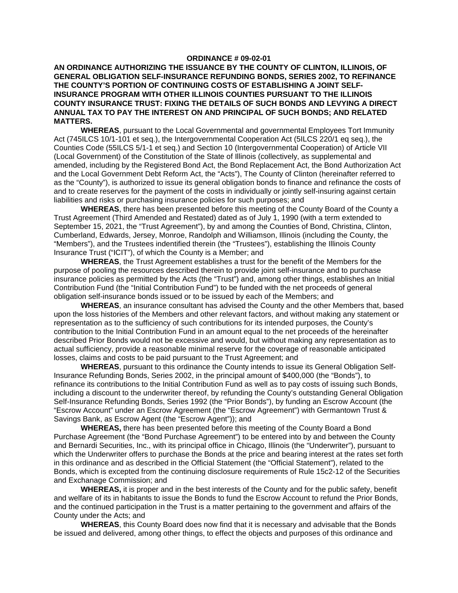#### **ORDINANCE # 09-02-01**

### **AN ORDINANCE AUTHORIZING THE ISSUANCE BY THE COUNTY OF CLINTON, ILLINOIS, OF GENERAL OBLIGATION SELF-INSURANCE REFUNDING BONDS, SERIES 2002, TO REFINANCE THE COUNTY'S PORTION OF CONTINUING COSTS OF ESTABLISHING A JOINT SELF-INSURANCE PROGRAM WITH OTHER ILLINOIS COUNTIES PURSUANT TO THE ILLINOIS COUNTY INSURANCE TRUST: FIXING THE DETAILS OF SUCH BONDS AND LEVYING A DIRECT ANNUAL TAX TO PAY THE INTEREST ON AND PRINCIPAL OF SUCH BONDS; AND RELATED MATTERS.**

**WHEREAS**, pursuant to the Local Governmental and governmental Employees Tort Immunity Act (745ILCS 10/1-101 et seq.), the Intergovernmental Cooperation Act (5ILCS 220/1 eq seq.), the Counties Code (55ILCS 5/1-1 et seq.) and Section 10 (Intergovernmental Cooperation) of Article VII (Local Government) of the Constitution of the State of Illinois (collectively, as supplemental and amended, including by the Registered Bond Act, the Bond Replacement Act, the Bond Authorization Act and the Local Government Debt Reform Act, the "Acts"), The County of Clinton (hereinafter referred to as the "County"), is authorized to issue its general obligation bonds to finance and refinance the costs of and to create reserves for the payment of the costs in individually or jointly self-insuring against certain liabilities and risks or purchasing insurance policies for such purposes; and

**WHEREAS**, there has been presented before this meeting of the County Board of the County a Trust Agreement (Third Amended and Restated) dated as of July 1, 1990 (with a term extended to September 15, 2021, the "Trust Agreement"), by and among the Counties of Bond, Christina, Clinton, Cumberland, Edwards, Jersey, Monroe, Randolph and Williamson, Illinois (including the County, the "Members"), and the Trustees indentified therein (the "Trustees"), establishing the Illinois County Insurance Trust ("ICIT"), of which the County is a Member; and

**WHEREAS**, the Trust Agreement establishes a trust for the benefit of the Members for the purpose of pooling the resources described therein to provide joint self-insurance and to purchase insurance policies as permitted by the Acts (the "Trust") and, among other things, establishes an Initial Contribution Fund (the "Initial Contribution Fund") to be funded with the net proceeds of general obligation self-insurance bonds issued or to be issued by each of the Members; and

**WHEREAS**, an insurance consultant has advised the County and the other Members that, based upon the loss histories of the Members and other relevant factors, and without making any statement or representation as to the sufficiency of such contributions for its intended purposes, the County's contribution to the Initial Contribution Fund in an amount equal to the net proceeds of the hereinafter described Prior Bonds would not be excessive and would, but without making any representation as to actual sufficiency, provide a reasonable minimal reserve for the coverage of reasonable anticipated losses, claims and costs to be paid pursuant to the Trust Agreement; and

**WHEREAS**, pursuant to this ordinance the County intends to issue its General Obligation Self-Insurance Refunding Bonds, Series 2002, in the principal amount of \$400,000 (the "Bonds"), to refinance its contributions to the Initial Contribution Fund as well as to pay costs of issuing such Bonds, including a discount to the underwriter thereof, by refunding the County's outstanding General Obligation Self-Insurance Refunding Bonds, Series 1992 (the "Prior Bonds"), by funding an Escrow Account (the "Escrow Account" under an Escrow Agreement (the "Escrow Agreement") with Germantown Trust & Savings Bank, as Escrow Agent (the "Escrow Agent")); and

**WHEREAS,** there has been presented before this meeting of the County Board a Bond Purchase Agreement (the "Bond Purchase Agreement") to be entered into by and between the County and Bernardi Securities, Inc., with its principal office in Chicago, Illinois (the "Underwriter"), pursuant to which the Underwriter offers to purchase the Bonds at the price and bearing interest at the rates set forth in this ordinance and as described in the Official Statement (the "Official Statement"), related to the Bonds, which is excepted from the continuing disclosure requirements of Rule 15c2-12 of the Securities and Exchanage Commission; and

**WHEREAS,** it is proper and in the best interests of the County and for the public safety, benefit and welfare of its in habitants to issue the Bonds to fund the Escrow Account to refund the Prior Bonds, and the continued participation in the Trust is a matter pertaining to the government and affairs of the County under the Acts; and

**WHEREAS**, this County Board does now find that it is necessary and advisable that the Bonds be issued and delivered, among other things, to effect the objects and purposes of this ordinance and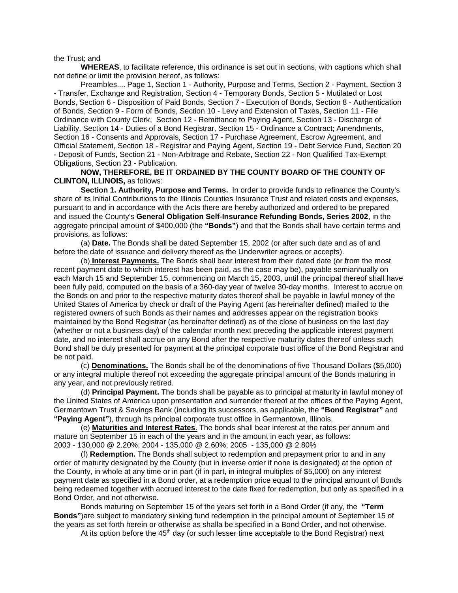the Trust; and

**WHEREAS**, to facilitate reference, this ordinance is set out in sections, with captions which shall not define or limit the provision hereof, as follows:

Preambles.... Page 1, Section 1 - Authority, Purpose and Terms, Section 2 - Payment, Section 3 - Transfer, Exchange and Registration, Section 4 - Temporary Bonds, Section 5 - Mutilated or Lost Bonds, Section 6 - Disposition of Paid Bonds, Section 7 - Execution of Bonds, Section 8 - Authentication of Bonds, Section 9 - Form of Bonds, Section 10 - Levy and Extension of Taxes, Section 11 - File Ordinance with County Clerk, Section 12 - Remittance to Paying Agent, Section 13 - Discharge of Liability, Section 14 - Duties of a Bond Registrar, Section 15 - Ordinance a Contract; Amendments, Section 16 - Consents and Approvals, Section 17 - Purchase Agreement, Escrow Agreement, and Official Statement, Section 18 - Registrar and Paying Agent, Section 19 - Debt Service Fund, Section 20 - Deposit of Funds, Section 21 - Non-Arbitrage and Rebate, Section 22 - Non Qualified Tax-Exempt Obligations, Section 23 - Publication.

**NOW, THEREFORE, BE IT ORDAINED BY THE COUNTY BOARD OF THE COUNTY OF CLINTON, ILLINOIS,** as follows:

**Section 1. Authority, Purpose and Terms.** In order to provide funds to refinance the County's share of its Initial Contributions to the Illinois Counties Insurance Trust and related costs and expenses, pursuant to and in accordance with the Acts there are hereby authorized and ordered to be prepared and issued the County's **General Obligation Self-Insurance Refunding Bonds, Series 2002**, in the aggregate principal amount of \$400,000 (the **"Bonds"**) and that the Bonds shall have certain terms and provisions, as follows:

(a) **Date.** The Bonds shall be dated September 15, 2002 (or after such date and as of and before the date of issuance and delivery thereof as the Underwriter agrees or accepts).

(b) **Interest Payments.** The Bonds shall bear interest from their dated date (or from the most recent payment date to which interest has been paid, as the case may be), payable semiannually on each March 15 and September 15, commencing on March 15, 2003, until the principal thereof shall have been fully paid, computed on the basis of a 360-day year of twelve 30-day months. Interest to accrue on the Bonds on and prior to the respective maturity dates thereof shall be payable in lawful money of the United States of America by check or draft of the Paying Agent (as hereinafter defined) mailed to the registered owners of such Bonds as their names and addresses appear on the registration books maintained by the Bond Registrar (as hereinafter defined) as of the close of business on the last day (whether or not a business day) of the calendar month next preceding the applicable interest payment date, and no interest shall accrue on any Bond after the respective maturity dates thereof unless such Bond shall be duly presented for payment at the principal corporate trust office of the Bond Registrar and be not paid.

(c) **Denominations.** The Bonds shall be of the denominations of five Thousand Dollars (\$5,000) or any integral multiple thereof not exceeding the aggregate principal amount of the Bonds maturing in any year, and not previously retired.

(d) **Principal Payment.** The bonds shall be payable as to principal at maturity in lawful money of the United States of America upon presentation and surrender thereof at the offices of the Paying Agent, Germantown Trust & Savings Bank (including its successors, as applicable, the **"Bond Registrar"** and **"Paying Agent"**), through its principal corporate trust office in Germantown, Illinois.

(e) **Maturities and Interest Rates**. The bonds shall bear interest at the rates per annum and mature on September 15 in each of the years and in the amount in each year, as follows:

2003 - 130,000 @ 2.20%; 2004 - 135,000 @ 2.60%; 2005 - 135,000 @ 2.80%

(f) **Redemption.** The Bonds shall subject to redemption and prepayment prior to and in any order of maturity designated by the County (but in inverse order if none is designated) at the option of the County, in whole at any time or in part (if in part, in integral multiples of \$5,000) on any interest payment date as specified in a Bond order, at a redemption price equal to the principal amount of Bonds being redeemed together with accrued interest to the date fixed for redemption, but only as specified in a Bond Order, and not otherwise.

Bonds maturing on September 15 of the years set forth in a Bond Order (if any, the **"Term Bonds"**)are subject to mandatory sinking fund redemption in the principal amount of September 15 of the years as set forth herein or otherwise as shalla be specified in a Bond Order, and not otherwise.

At its option before the  $45<sup>th</sup>$  day (or such lesser time acceptable to the Bond Registrar) next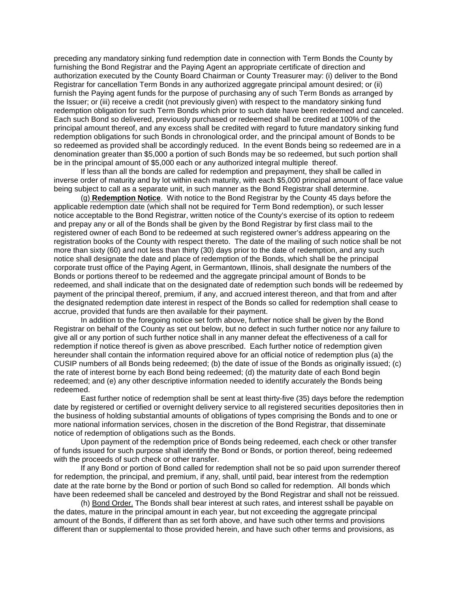preceding any mandatory sinking fund redemption date in connection with Term Bonds the County by furnishing the Bond Registrar and the Paying Agent an appropriate certificate of direction and authorization executed by the County Board Chairman or County Treasurer may: (i) deliver to the Bond Registrar for cancellation Term Bonds in any authorized aggregate principal amount desired; or (ii) furnish the Paying agent funds for the purpose of purchasing any of such Term Bonds as arranged by the Issuer; or (iii) receive a credit (not previously given) with respect to the mandatory sinking fund redemption obligation for such Term Bonds which prior to such date have been redeemed and canceled. Each such Bond so delivered, previously purchased or redeemed shall be credited at 100% of the principal amount thereof, and any excess shall be credited with regard to future mandatory sinking fund redemption obligations for such Bonds in chronological order, and the principal amount of Bonds to be so redeemed as provided shall be accordingly reduced. In the event Bonds being so redeemed are in a denomination greater than \$5,000 a portion of such Bonds may be so redeemed, but such portion shall be in the principal amount of \$5,000 each or any authorized integral multiple thereof.

If less than all the bonds are called for redemption and prepayment, they shall be called in inverse order of maturity and by lot within each maturity, with each \$5,000 principal amount of face value being subject to call as a separate unit, in such manner as the Bond Registrar shall determine.

(g) **Redemption Notice**. With notice to the Bond Registrar by the County 45 days before the applicable redemption date (which shall not be required for Term Bond redemption), or such lesser notice acceptable to the Bond Registrar, written notice of the County's exercise of its option to redeem and prepay any or all of the Bonds shall be given by the Bond Registrar by first class mail to the registered owner of each Bond to be redeemed at such registered owner's address appearing on the registration books of the County with respect thereto. The date of the mailing of such notice shall be not more than sixty (60) and not less than thirty (30) days prior to the date of redemption, and any such notice shall designate the date and place of redemption of the Bonds, which shall be the principal corporate trust office of the Paying Agent, in Germantown, Illinois, shall designate the numbers of the Bonds or portions thereof to be redeemed and the aggregate principal amount of Bonds to be redeemed, and shall indicate that on the designated date of redemption such bonds will be redeemed by payment of the principal thereof, premium, if any, and accrued interest thereon, and that from and after the designated redemption date interest in respect of the Bonds so called for redemption shall cease to accrue, provided that funds are then available for their payment.

In addition to the foregoing notice set forth above, further notice shall be given by the Bond Registrar on behalf of the County as set out below, but no defect in such further notice nor any failure to give all or any portion of such further notice shall in any manner defeat the effectiveness of a call for redemption if notice thereof is given as above prescribed. Each further notice of redemption given hereunder shall contain the information required above for an official notice of redemption plus (a) the CUSIP numbers of all Bonds being redeemed; (b) the date of issue of the Bonds as originally issued; (c) the rate of interest borne by each Bond being redeemed; (d) the maturity date of each Bond begin redeemed; and (e) any other descriptive information needed to identify accurately the Bonds being redeemed.

East further notice of redemption shall be sent at least thirty-five (35) days before the redemption date by registered or certified or overnight delivery service to all registered securities depositories then in the business of holding substantial amounts of obligations of types comprising the Bonds and to one or more national information services, chosen in the discretion of the Bond Registrar, that disseminate notice of redemption of obligations such as the Bonds.

Upon payment of the redemption price of Bonds being redeemed, each check or other transfer of funds issued for such purpose shall identify the Bond or Bonds, or portion thereof, being redeemed with the proceeds of such check or other transfer.

If any Bond or portion of Bond called for redemption shall not be so paid upon surrender thereof for redemption, the principal, and premium, if any, shall, until paid, bear interest from the redemption date at the rate borne by the Bond or portion of such Bond so called for redemption. All bonds which have been redeemed shall be canceled and destroyed by the Bond Registrar and shall not be reissued.

(h) Bond Order. The Bonds shall bear interest at such rates, and interest sshall be payable on the dates, mature in the principal amount in each year, but not exceeding the aggregate principal amount of the Bonds, if different than as set forth above, and have such other terms and provisions different than or supplemental to those provided herein, and have such other terms and provisions, as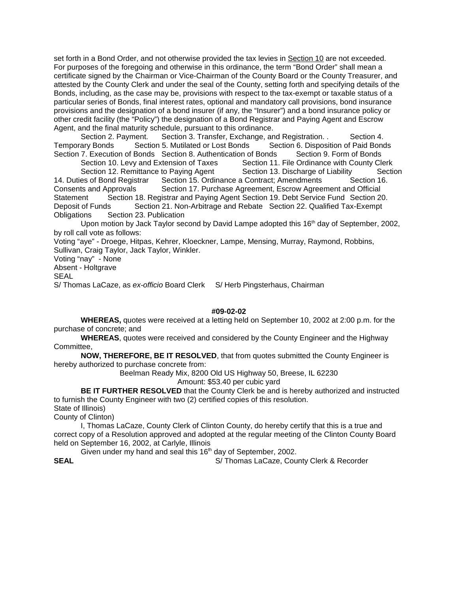set forth in a Bond Order, and not otherwise provided the tax levies in Section 10 are not exceeded. For purposes of the foregoing and otherwise in this ordinance, the term "Bond Order" shall mean a certificate signed by the Chairman or Vice-Chairman of the County Board or the County Treasurer, and attested by the County Clerk and under the seal of the County, setting forth and specifying details of the Bonds, including, as the case may be, provisions with respect to the tax-exempt or taxable status of a particular series of Bonds, final interest rates, optional and mandatory call provisions, bond insurance provisions and the designation of a bond insurer (if any, the "Insurer") and a bond insurance policy or other credit facility (the "Policy") the designation of a Bond Registrar and Paying Agent and Escrow Agent, and the final maturity schedule, pursuant to this ordinance.

Section 2. Payment. Section 3. Transfer, Exchange, and Registration. . Section 4. Temporary Bonds Section 5. Mutilated or Lost Bonds Section 6. Disposition of Paid Bonds Section 7. Execution of Bonds Section 8. Authentication of Bonds Section 9. Form of Bonds Section 10. Levy and Extension of Taxes Section 11. File Ordinance with County Clerk Section 12. Remittance to Paying Agent Section 13. Discharge of Liability Section 14. Duties of Bond Registrar Section 15. Ordinance a Contract; Amendments Section 16. Consents and Approvals Section 17. Purchase Agreement, Escrow Agreement and Official Statement Section 18. Registrar and Paying Agent Section 19. Debt Service Fund Section 20. Deposit of Funds Section 21. Non-Arbitrage and Rebate Section 22. Qualified Tax-Exempt Obligations Section 23. Publication

Upon motion by Jack Taylor second by David Lampe adopted this  $16<sup>th</sup>$  day of September, 2002, by roll call vote as follows:

Voting "aye" - Droege, Hitpas, Kehrer, Kloeckner, Lampe, Mensing, Murray, Raymond, Robbins, Sullivan, Craig Taylor, Jack Taylor, Winkler.

Voting "nay" - None

Absent - Holtgrave

**SEAL** 

S/ Thomas LaCaze, as ex-officio Board Clerk S/ Herb Pingsterhaus, Chairman

### **#09-02-02**

**WHEREAS,** quotes were received at a letting held on September 10, 2002 at 2:00 p.m. for the purchase of concrete; and

**WHEREAS**, quotes were received and considered by the County Engineer and the Highway Committee,

**NOW, THEREFORE, BE IT RESOLVED**, that from quotes submitted the County Engineer is hereby authorized to purchase concrete from:

Beelman Ready Mix, 8200 Old US Highway 50, Breese, IL 62230

Amount: \$53.40 per cubic yard

**BE IT FURTHER RESOLVED** that the County Clerk be and is hereby authorized and instructed to furnish the County Engineer with two (2) certified copies of this resolution. State of Illinois)

County of Clinton)

I, Thomas LaCaze, County Clerk of Clinton County, do hereby certify that this is a true and correct copy of a Resolution approved and adopted at the regular meeting of the Clinton County Board held on September 16, 2002, at Carlyle, Illinois

Given under my hand and seal this  $16<sup>th</sup>$  day of September, 2002.

**SEAL** S/ Thomas LaCaze, County Clerk & Recorder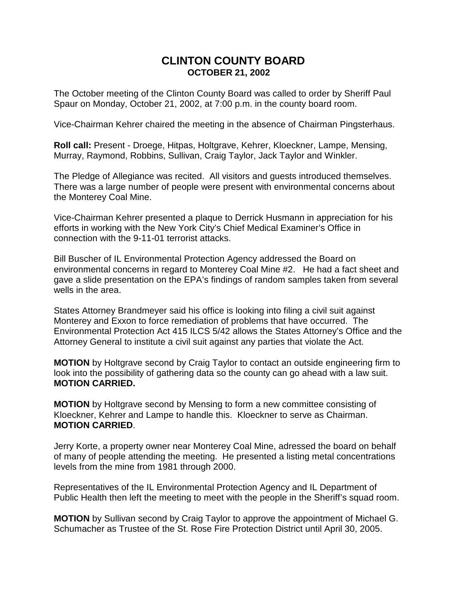# **CLINTON COUNTY BOARD OCTOBER 21, 2002**

The October meeting of the Clinton County Board was called to order by Sheriff Paul Spaur on Monday, October 21, 2002, at 7:00 p.m. in the county board room.

Vice-Chairman Kehrer chaired the meeting in the absence of Chairman Pingsterhaus.

**Roll call:** Present - Droege, Hitpas, Holtgrave, Kehrer, Kloeckner, Lampe, Mensing, Murray, Raymond, Robbins, Sullivan, Craig Taylor, Jack Taylor and Winkler.

The Pledge of Allegiance was recited. All visitors and guests introduced themselves. There was a large number of people were present with environmental concerns about the Monterey Coal Mine.

Vice-Chairman Kehrer presented a plaque to Derrick Husmann in appreciation for his efforts in working with the New York City's Chief Medical Examiner's Office in connection with the 9-11-01 terrorist attacks.

Bill Buscher of IL Environmental Protection Agency addressed the Board on environmental concerns in regard to Monterey Coal Mine #2. He had a fact sheet and gave a slide presentation on the EPA's findings of random samples taken from several wells in the area.

States Attorney Brandmeyer said his office is looking into filing a civil suit against Monterey and Exxon to force remediation of problems that have occurred. The Environmental Protection Act 415 ILCS 5/42 allows the States Attorney's Office and the Attorney General to institute a civil suit against any parties that violate the Act.

**MOTION** by Holtgrave second by Craig Taylor to contact an outside engineering firm to look into the possibility of gathering data so the county can go ahead with a law suit. **MOTION CARRIED.**

**MOTION** by Holtgrave second by Mensing to form a new committee consisting of Kloeckner, Kehrer and Lampe to handle this. Kloeckner to serve as Chairman. **MOTION CARRIED**.

Jerry Korte, a property owner near Monterey Coal Mine, adressed the board on behalf of many of people attending the meeting. He presented a listing metal concentrations levels from the mine from 1981 through 2000.

Representatives of the IL Environmental Protection Agency and IL Department of Public Health then left the meeting to meet with the people in the Sheriff's squad room.

**MOTION** by Sullivan second by Craig Taylor to approve the appointment of Michael G. Schumacher as Trustee of the St. Rose Fire Protection District until April 30, 2005.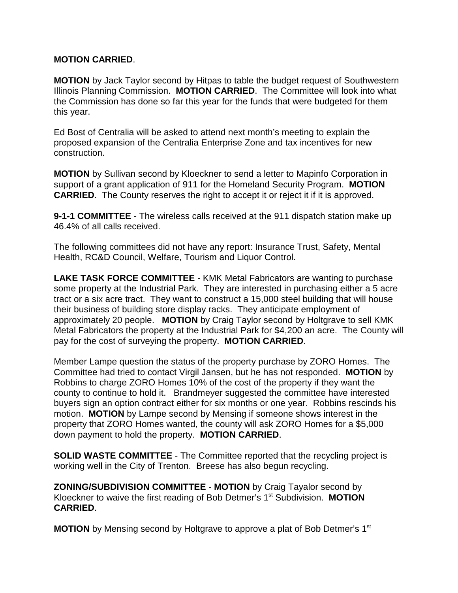# **MOTION CARRIED**.

**MOTION** by Jack Taylor second by Hitpas to table the budget request of Southwestern Illinois Planning Commission. **MOTION CARRIED**. The Committee will look into what the Commission has done so far this year for the funds that were budgeted for them this year.

Ed Bost of Centralia will be asked to attend next month's meeting to explain the proposed expansion of the Centralia Enterprise Zone and tax incentives for new construction.

**MOTION** by Sullivan second by Kloeckner to send a letter to Mapinfo Corporation in support of a grant application of 911 for the Homeland Security Program. **MOTION CARRIED.** The County reserves the right to accept it or reject it if it is approved.

**9-1-1 COMMITTEE** - The wireless calls received at the 911 dispatch station make up 46.4% of all calls received.

The following committees did not have any report: Insurance Trust, Safety, Mental Health, RC&D Council, Welfare, Tourism and Liquor Control.

**LAKE TASK FORCE COMMITTEE** - KMK Metal Fabricators are wanting to purchase some property at the Industrial Park. They are interested in purchasing either a 5 acre tract or a six acre tract. They want to construct a 15,000 steel building that will house their business of building store display racks. They anticipate employment of approximately 20 people. **MOTION** by Craig Taylor second by Holtgrave to sell KMK Metal Fabricators the property at the Industrial Park for \$4,200 an acre. The County will pay for the cost of surveying the property. **MOTION CARRIED**.

Member Lampe question the status of the property purchase by ZORO Homes. The Committee had tried to contact Virgil Jansen, but he has not responded. **MOTION** by Robbins to charge ZORO Homes 10% of the cost of the property if they want the county to continue to hold it. Brandmeyer suggested the committee have interested buyers sign an option contract either for six months or one year. Robbins rescinds his motion. **MOTION** by Lampe second by Mensing if someone shows interest in the property that ZORO Homes wanted, the county will ask ZORO Homes for a \$5,000 down payment to hold the property. **MOTION CARRIED**.

**SOLID WASTE COMMITTEE** - The Committee reported that the recycling project is working well in the City of Trenton. Breese has also begun recycling.

**ZONING/SUBDIVISION COMMITTEE** - **MOTION** by Craig Tayalor second by Kloeckner to waive the first reading of Bob Detmer's 1<sup>st</sup> Subdivision. **MOTION CARRIED**.

**MOTION** by Mensing second by Holtgrave to approve a plat of Bob Detmer's 1<sup>st</sup>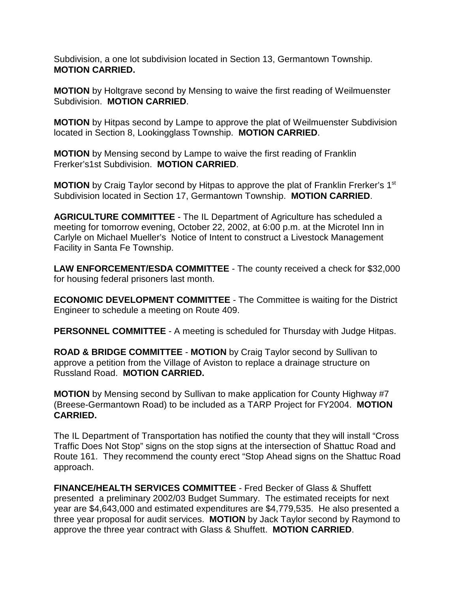Subdivision, a one lot subdivision located in Section 13, Germantown Township. **MOTION CARRIED.**

**MOTION** by Holtgrave second by Mensing to waive the first reading of Weilmuenster Subdivision. **MOTION CARRIED**.

**MOTION** by Hitpas second by Lampe to approve the plat of Weilmuenster Subdivision located in Section 8, Lookingglass Township. **MOTION CARRIED**.

**MOTION** by Mensing second by Lampe to waive the first reading of Franklin Frerker's1st Subdivision. **MOTION CARRIED**.

**MOTION** by Craig Taylor second by Hitpas to approve the plat of Franklin Frerker's 1<sup>st</sup> Subdivision located in Section 17, Germantown Township. **MOTION CARRIED**.

**AGRICULTURE COMMITTEE** - The IL Department of Agriculture has scheduled a meeting for tomorrow evening, October 22, 2002, at 6:00 p.m. at the Microtel Inn in Carlyle on Michael Mueller's Notice of Intent to construct a Livestock Management Facility in Santa Fe Township.

**LAW ENFORCEMENT/ESDA COMMITTEE** - The county received a check for \$32,000 for housing federal prisoners last month.

**ECONOMIC DEVELOPMENT COMMITTEE** - The Committee is waiting for the District Engineer to schedule a meeting on Route 409.

**PERSONNEL COMMITTEE** - A meeting is scheduled for Thursday with Judge Hitpas.

**ROAD & BRIDGE COMMITTEE** - **MOTION** by Craig Taylor second by Sullivan to approve a petition from the Village of Aviston to replace a drainage structure on Russland Road. **MOTION CARRIED.**

**MOTION** by Mensing second by Sullivan to make application for County Highway #7 (Breese-Germantown Road) to be included as a TARP Project for FY2004. **MOTION CARRIED.**

The IL Department of Transportation has notified the county that they will install "Cross Traffic Does Not Stop" signs on the stop signs at the intersection of Shattuc Road and Route 161. They recommend the county erect "Stop Ahead signs on the Shattuc Road approach.

**FINANCE/HEALTH SERVICES COMMITTEE** - Fred Becker of Glass & Shuffett presented a preliminary 2002/03 Budget Summary. The estimated receipts for next year are \$4,643,000 and estimated expenditures are \$4,779,535. He also presented a three year proposal for audit services. **MOTION** by Jack Taylor second by Raymond to approve the three year contract with Glass & Shuffett. **MOTION CARRIED**.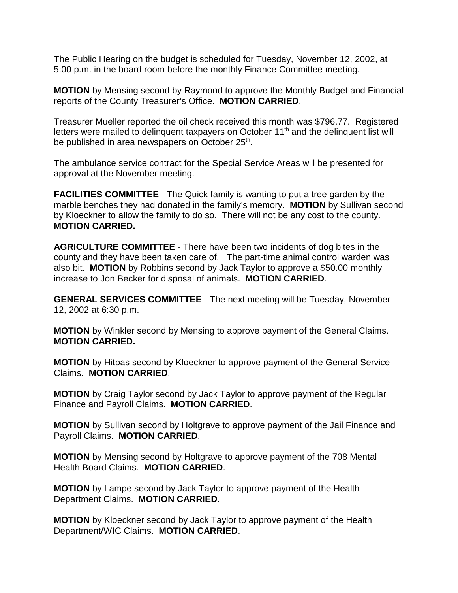The Public Hearing on the budget is scheduled for Tuesday, November 12, 2002, at 5:00 p.m. in the board room before the monthly Finance Committee meeting.

**MOTION** by Mensing second by Raymond to approve the Monthly Budget and Financial reports of the County Treasurer's Office. **MOTION CARRIED**.

Treasurer Mueller reported the oil check received this month was \$796.77. Registered letters were mailed to delinguent taxpayers on October  $11<sup>th</sup>$  and the delinguent list will be published in area newspapers on October 25<sup>th</sup>.

The ambulance service contract for the Special Service Areas will be presented for approval at the November meeting.

**FACILITIES COMMITTEE** - The Quick family is wanting to put a tree garden by the marble benches they had donated in the family's memory. **MOTION** by Sullivan second by Kloeckner to allow the family to do so. There will not be any cost to the county. **MOTION CARRIED.**

**AGRICULTURE COMMITTEE** - There have been two incidents of dog bites in the county and they have been taken care of. The part-time animal control warden was also bit. **MOTION** by Robbins second by Jack Taylor to approve a \$50.00 monthly increase to Jon Becker for disposal of animals. **MOTION CARRIED**.

**GENERAL SERVICES COMMITTEE** - The next meeting will be Tuesday, November 12, 2002 at 6:30 p.m.

**MOTION** by Winkler second by Mensing to approve payment of the General Claims. **MOTION CARRIED.**

**MOTION** by Hitpas second by Kloeckner to approve payment of the General Service Claims. **MOTION CARRIED**.

**MOTION** by Craig Taylor second by Jack Taylor to approve payment of the Regular Finance and Payroll Claims. **MOTION CARRIED**.

**MOTION** by Sullivan second by Holtgrave to approve payment of the Jail Finance and Payroll Claims. **MOTION CARRIED**.

**MOTION** by Mensing second by Holtgrave to approve payment of the 708 Mental Health Board Claims. **MOTION CARRIED**.

**MOTION** by Lampe second by Jack Taylor to approve payment of the Health Department Claims. **MOTION CARRIED**.

**MOTION** by Kloeckner second by Jack Taylor to approve payment of the Health Department/WIC Claims. **MOTION CARRIED**.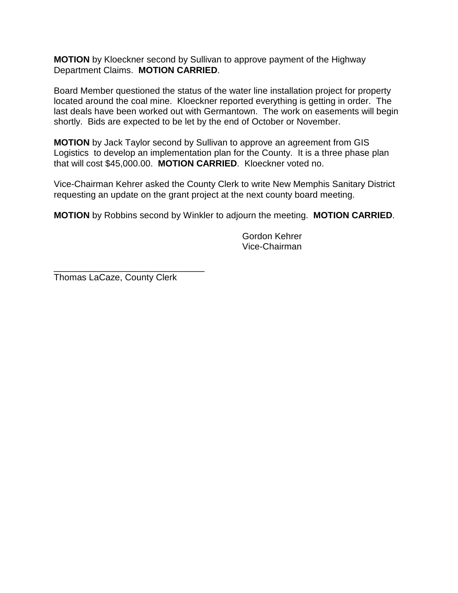**MOTION** by Kloeckner second by Sullivan to approve payment of the Highway Department Claims. **MOTION CARRIED**.

Board Member questioned the status of the water line installation project for property located around the coal mine. Kloeckner reported everything is getting in order. The last deals have been worked out with Germantown. The work on easements will begin shortly. Bids are expected to be let by the end of October or November.

**MOTION** by Jack Taylor second by Sullivan to approve an agreement from GIS Logistics to develop an implementation plan for the County. It is a three phase plan that will cost \$45,000.00. **MOTION CARRIED**. Kloeckner voted no.

Vice-Chairman Kehrer asked the County Clerk to write New Memphis Sanitary District requesting an update on the grant project at the next county board meeting.

**MOTION** by Robbins second by Winkler to adjourn the meeting. **MOTION CARRIED**.

Gordon Kehrer Vice-Chairman

Thomas LaCaze, County Clerk

\_\_\_\_\_\_\_\_\_\_\_\_\_\_\_\_\_\_\_\_\_\_\_\_\_\_\_\_\_\_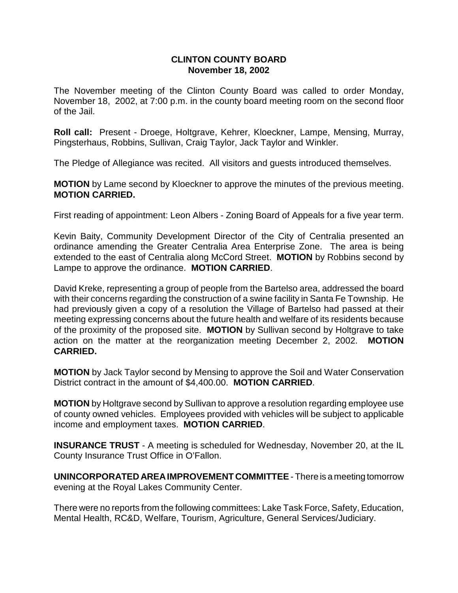### **CLINTON COUNTY BOARD November 18, 2002**

The November meeting of the Clinton County Board was called to order Monday, November 18, 2002, at 7:00 p.m. in the county board meeting room on the second floor of the Jail.

**Roll call:** Present - Droege, Holtgrave, Kehrer, Kloeckner, Lampe, Mensing, Murray, Pingsterhaus, Robbins, Sullivan, Craig Taylor, Jack Taylor and Winkler.

The Pledge of Allegiance was recited. All visitors and guests introduced themselves.

**MOTION** by Lame second by Kloeckner to approve the minutes of the previous meeting. **MOTION CARRIED.**

First reading of appointment: Leon Albers - Zoning Board of Appeals for a five year term.

Kevin Baity, Community Development Director of the City of Centralia presented an ordinance amending the Greater Centralia Area Enterprise Zone. The area is being extended to the east of Centralia along McCord Street. **MOTION** by Robbins second by Lampe to approve the ordinance. **MOTION CARRIED**.

David Kreke, representing a group of people from the Bartelso area, addressed the board with their concerns regarding the construction of a swine facility in Santa Fe Township. He had previously given a copy of a resolution the Village of Bartelso had passed at their meeting expressing concerns about the future health and welfare of its residents because of the proximity of the proposed site. **MOTION** by Sullivan second by Holtgrave to take action on the matter at the reorganization meeting December 2, 2002. **MOTION CARRIED.**

**MOTION** by Jack Taylor second by Mensing to approve the Soil and Water Conservation District contract in the amount of \$4,400.00. **MOTION CARRIED**.

**MOTION** by Holtgrave second by Sullivan to approve a resolution regarding employee use of county owned vehicles. Employees provided with vehicles will be subject to applicable income and employment taxes. **MOTION CARRIED**.

**INSURANCE TRUST** - A meeting is scheduled for Wednesday, November 20, at the IL County Insurance Trust Office in O'Fallon.

**UNINCORPORATED AREA IMPROVEMENT COMMITTEE** - There is a meeting tomorrow evening at the Royal Lakes Community Center.

There were no reports from the following committees: Lake Task Force, Safety, Education, Mental Health, RC&D, Welfare, Tourism, Agriculture, General Services/Judiciary.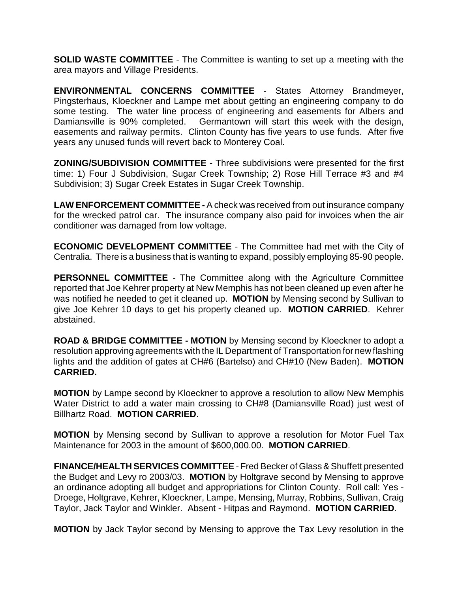**SOLID WASTE COMMITTEE** - The Committee is wanting to set up a meeting with the area mayors and Village Presidents.

**ENVIRONMENTAL CONCERNS COMMITTEE** - States Attorney Brandmeyer, Pingsterhaus, Kloeckner and Lampe met about getting an engineering company to do some testing. The water line process of engineering and easements for Albers and Damiansville is 90% completed. Germantown will start this week with the design, easements and railway permits. Clinton County has five years to use funds. After five years any unused funds will revert back to Monterey Coal.

**ZONING/SUBDIVISION COMMITTEE** - Three subdivisions were presented for the first time: 1) Four J Subdivision, Sugar Creek Township; 2) Rose Hill Terrace #3 and #4 Subdivision; 3) Sugar Creek Estates in Sugar Creek Township.

**LAW ENFORCEMENT COMMITTEE -** A check was received from out insurance company for the wrecked patrol car. The insurance company also paid for invoices when the air conditioner was damaged from low voltage.

**ECONOMIC DEVELOPMENT COMMITTEE** - The Committee had met with the City of Centralia. There is a business that is wanting to expand, possibly employing 85-90 people.

**PERSONNEL COMMITTEE** - The Committee along with the Agriculture Committee reported that Joe Kehrer property at New Memphis has not been cleaned up even after he was notified he needed to get it cleaned up. **MOTION** by Mensing second by Sullivan to give Joe Kehrer 10 days to get his property cleaned up. **MOTION CARRIED**. Kehrer abstained.

**ROAD & BRIDGE COMMITTEE - MOTION** by Mensing second by Kloeckner to adopt a resolution approving agreements with the IL Department of Transportation for new flashing lights and the addition of gates at CH#6 (Bartelso) and CH#10 (New Baden). **MOTION CARRIED.**

**MOTION** by Lampe second by Kloeckner to approve a resolution to allow New Memphis Water District to add a water main crossing to CH#8 (Damiansville Road) just west of Billhartz Road. **MOTION CARRIED**.

**MOTION** by Mensing second by Sullivan to approve a resolution for Motor Fuel Tax Maintenance for 2003 in the amount of \$600,000.00. **MOTION CARRIED**.

**FINANCE/HEALTH SERVICES COMMITTEE** - Fred Becker of Glass & Shuffett presented the Budget and Levy ro 2003/03. **MOTION** by Holtgrave second by Mensing to approve an ordinance adopting all budget and appropriations for Clinton County. Roll call: Yes - Droege, Holtgrave, Kehrer, Kloeckner, Lampe, Mensing, Murray, Robbins, Sullivan, Craig Taylor, Jack Taylor and Winkler. Absent - Hitpas and Raymond. **MOTION CARRIED**.

**MOTION** by Jack Taylor second by Mensing to approve the Tax Levy resolution in the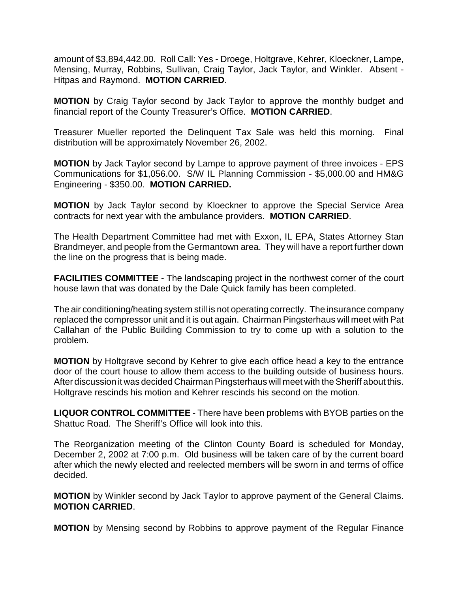amount of \$3,894,442.00. Roll Call: Yes - Droege, Holtgrave, Kehrer, Kloeckner, Lampe, Mensing, Murray, Robbins, Sullivan, Craig Taylor, Jack Taylor, and Winkler. Absent - Hitpas and Raymond. **MOTION CARRIED**.

**MOTION** by Craig Taylor second by Jack Taylor to approve the monthly budget and financial report of the County Treasurer's Office. **MOTION CARRIED**.

Treasurer Mueller reported the Delinquent Tax Sale was held this morning. Final distribution will be approximately November 26, 2002.

**MOTION** by Jack Taylor second by Lampe to approve payment of three invoices - EPS Communications for \$1,056.00. S/W IL Planning Commission - \$5,000.00 and HM&G Engineering - \$350.00. **MOTION CARRIED.**

**MOTION** by Jack Taylor second by Kloeckner to approve the Special Service Area contracts for next year with the ambulance providers. **MOTION CARRIED**.

The Health Department Committee had met with Exxon, IL EPA, States Attorney Stan Brandmeyer, and people from the Germantown area. They will have a report further down the line on the progress that is being made.

**FACILITIES COMMITTEE** - The landscaping project in the northwest corner of the court house lawn that was donated by the Dale Quick family has been completed.

The air conditioning/heating system still is not operating correctly. The insurance company replaced the compressor unit and it is out again. Chairman Pingsterhaus will meet with Pat Callahan of the Public Building Commission to try to come up with a solution to the problem.

**MOTION** by Holtgrave second by Kehrer to give each office head a key to the entrance door of the court house to allow them access to the building outside of business hours. After discussion it was decided Chairman Pingsterhaus will meet with the Sheriff about this. Holtgrave rescinds his motion and Kehrer rescinds his second on the motion.

**LIQUOR CONTROL COMMITTEE** - There have been problems with BYOB parties on the Shattuc Road. The Sheriff's Office will look into this.

The Reorganization meeting of the Clinton County Board is scheduled for Monday, December 2, 2002 at 7:00 p.m. Old business will be taken care of by the current board after which the newly elected and reelected members will be sworn in and terms of office decided.

**MOTION** by Winkler second by Jack Taylor to approve payment of the General Claims. **MOTION CARRIED**.

**MOTION** by Mensing second by Robbins to approve payment of the Regular Finance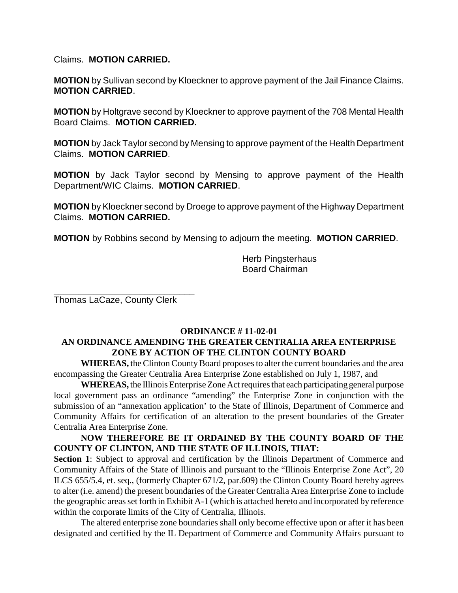Claims. **MOTION CARRIED.**

**MOTION** by Sullivan second by Kloeckner to approve payment of the Jail Finance Claims. **MOTION CARRIED**.

**MOTION** by Holtgrave second by Kloeckner to approve payment of the 708 Mental Health Board Claims. **MOTION CARRIED.**

**MOTION** by Jack Taylor second by Mensing to approve payment of the Health Department Claims. **MOTION CARRIED**.

**MOTION** by Jack Taylor second by Mensing to approve payment of the Health Department/WIC Claims. **MOTION CARRIED**.

**MOTION** by Kloeckner second by Droege to approve payment of the Highway Department Claims. **MOTION CARRIED.**

**MOTION** by Robbins second by Mensing to adjourn the meeting. **MOTION CARRIED**.

Herb Pingsterhaus Board Chairman

Thomas LaCaze, County Clerk

\_\_\_\_\_\_\_\_\_\_\_\_\_\_\_\_\_\_\_\_\_\_\_\_\_\_\_\_

### **ORDINANCE # 11-02-01 AN ORDINANCE AMENDING THE GREATER CENTRALIA AREA ENTERPRISE ZONE BY ACTION OF THE CLINTON COUNTY BOARD**

**WHEREAS,** the Clinton County Board proposes to alter the current boundaries and the area encompassing the Greater Centralia Area Enterprise Zone established on July 1, 1987, and

**WHEREAS,** the Illinois Enterprise Zone Act requires that each participating general purpose local government pass an ordinance "amending" the Enterprise Zone in conjunction with the submission of an "annexation application' to the State of Illinois, Department of Commerce and Community Affairs for certification of an alteration to the present boundaries of the Greater Centralia Area Enterprise Zone.

## **NOW THEREFORE BE IT ORDAINED BY THE COUNTY BOARD OF THE COUNTY OF CLINTON, AND THE STATE OF ILLINOIS, THAT:**

**Section 1**: Subject to approval and certification by the Illinois Department of Commerce and Community Affairs of the State of Illinois and pursuant to the "Illinois Enterprise Zone Act", 20 ILCS 655/5.4, et. seq., (formerly Chapter 671/2, par.609) the Clinton County Board hereby agrees to alter (i.e. amend) the present boundaries of the Greater Centralia Area Enterprise Zone to include the geographic areas set forth in Exhibit A-1 (which is attached hereto and incorporated by reference within the corporate limits of the City of Centralia, Illinois.

The altered enterprise zone boundaries shall only become effective upon or after it has been designated and certified by the IL Department of Commerce and Community Affairs pursuant to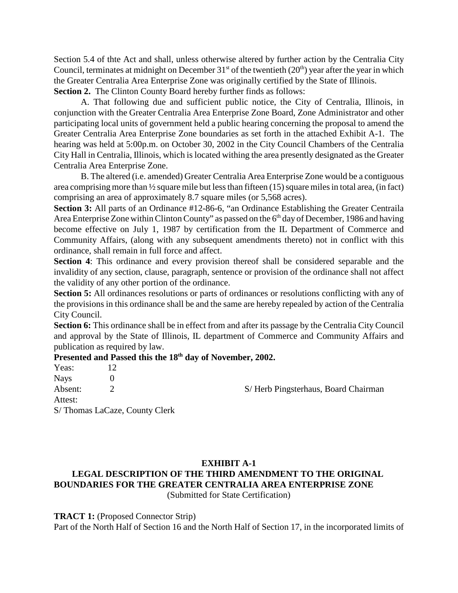Section 5.4 of thte Act and shall, unless otherwise altered by further action by the Centralia City Council, terminates at midnight on December  $31<sup>st</sup>$  of the twentieth (20<sup>th</sup>) year after the year in which the Greater Centralia Area Enterprise Zone was originally certified by the State of Illinois. **Section 2.** The Clinton County Board hereby further finds as follows:

A. That following due and sufficient public notice, the City of Centralia, Illinois, in conjunction with the Greater Centralia Area Enterprise Zone Board, Zone Administrator and other participating local units of government held a public hearing concerning the proposal to amend the Greater Centralia Area Enterprise Zone boundaries as set forth in the attached Exhibit A-1. The hearing was held at 5:00p.m. on October 30, 2002 in the City Council Chambers of the Centralia City Hall in Centralia, Illinois, which is located withing the area presently designated as the Greater Centralia Area Enterprise Zone.

B. The altered (i.e. amended) Greater Centralia Area Enterprise Zone would be a contiguous area comprising more than ½ square mile but less than fifteen (15) square miles in total area, (in fact) comprising an area of approximately 8.7 square miles (or 5,568 acres).

Section 3: All parts of an Ordinance #12-86-6, "an Ordinance Establishing the Greater Centraila Area Enterprise Zone within Clinton County" as passed on the  $6<sup>th</sup>$  day of December, 1986 and having become effective on July 1, 1987 by certification from the IL Department of Commerce and Community Affairs, (along with any subsequent amendments thereto) not in conflict with this ordinance, shall remain in full force and affect.

**Section 4**: This ordinance and every provision thereof shall be considered separable and the invalidity of any section, clause, paragraph, sentence or provision of the ordinance shall not affect the validity of any other portion of the ordinance.

**Section 5:** All ordinances resolutions or parts of ordinances or resolutions conflicting with any of the provisions in this ordinance shall be and the same are hereby repealed by action of the Centralia City Council.

**Section 6:** This ordinance shall be in effect from and after its passage by the Centralia City Council and approval by the State of Illinois, IL department of Commerce and Community Affairs and publication as required by law.

# Presented and Passed this the 18<sup>th</sup> day of November, 2002.

| Yeas:   |                               |                                     |
|---------|-------------------------------|-------------------------------------|
| Nays    |                               |                                     |
| Absent: |                               | S/Herb Pingsterhaus, Board Chairman |
| Attest: |                               |                                     |
|         | S/Thomas LaCaze, County Clerk |                                     |
|         |                               |                                     |

### **EXHIBIT A-1 LEGAL DESCRIPTION OF THE THIRD AMENDMENT TO THE ORIGINAL BOUNDARIES FOR THE GREATER CENTRALIA AREA ENTERPRISE ZONE** (Submitted for State Certification)

### **TRACT 1:** (Proposed Connector Strip)

Part of the North Half of Section 16 and the North Half of Section 17, in the incorporated limits of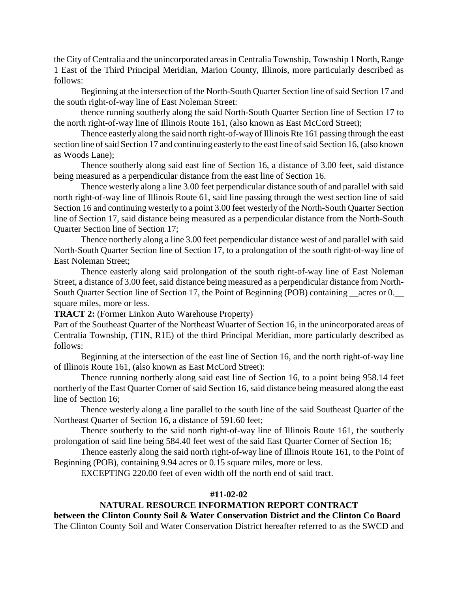the City of Centralia and the unincorporated areas in Centralia Township, Township 1 North, Range 1 East of the Third Principal Meridian, Marion County, Illinois, more particularly described as follows:

Beginning at the intersection of the North-South Quarter Section line of said Section 17 and the south right-of-way line of East Noleman Street:

thence running southerly along the said North-South Quarter Section line of Section 17 to the north right-of-way line of Illinois Route 161, (also known as East McCord Street);

Thence easterly along the said north right-of-way of Illinois Rte 161 passing through the east section line of said Section 17 and continuing easterly to the east line of said Section 16, (also known as Woods Lane);

Thence southerly along said east line of Section 16, a distance of 3.00 feet, said distance being measured as a perpendicular distance from the east line of Section 16.

Thence westerly along a line 3.00 feet perpendicular distance south of and parallel with said north right-of-way line of Illinois Route 61, said line passing through the west section line of said Section 16 and continuing westerly to a point 3.00 feet westerly of the North-South Quarter Section line of Section 17, said distance being measured as a perpendicular distance from the North-South Quarter Section line of Section 17;

Thence northerly along a line 3.00 feet perpendicular distance west of and parallel with said North-South Quarter Section line of Section 17, to a prolongation of the south right-of-way line of East Noleman Street;

Thence easterly along said prolongation of the south right-of-way line of East Noleman Street, a distance of 3.00 feet, said distance being measured as a perpendicular distance from North-South Quarter Section line of Section 17, the Point of Beginning (POB) containing \_\_acres or 0. square miles, more or less.

**TRACT 2:** (Former Linkon Auto Warehouse Property)

Part of the Southeast Quarter of the Northeast Wuarter of Section 16, in the unincorporated areas of Centralia Township, (T1N, R1E) of the third Principal Meridian, more particularly described as follows:

Beginning at the intersection of the east line of Section 16, and the north right-of-way line of Illinois Route 161, (also known as East McCord Street):

Thence running northerly along said east line of Section 16, to a point being 958.14 feet northerly of the East Quarter Corner of said Section 16, said distance being measured along the east line of Section 16;

Thence westerly along a line parallel to the south line of the said Southeast Quarter of the Northeast Quarter of Section 16, a distance of 591.60 feet;

Thence southerly to the said north right-of-way line of Illinois Route 161, the southerly prolongation of said line being 584.40 feet west of the said East Quarter Corner of Section 16;

Thence easterly along the said north right-of-way line of Illinois Route 161, to the Point of Beginning (POB), containing 9.94 acres or 0.15 square miles, more or less.

EXCEPTING 220.00 feet of even width off the north end of said tract.

### **#11-02-02**

## **NATURAL RESOURCE INFORMATION REPORT CONTRACT**

**between the Clinton County Soil & Water Conservation District and the Clinton Co Board** The Clinton County Soil and Water Conservation District hereafter referred to as the SWCD and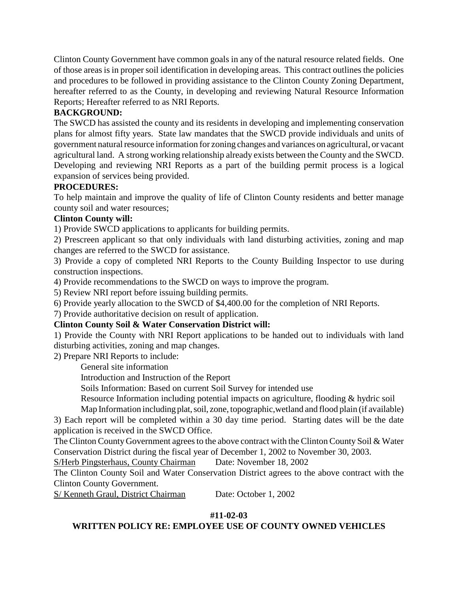Clinton County Government have common goals in any of the natural resource related fields. One of those areas is in proper soil identification in developing areas. This contract outlines the policies and procedures to be followed in providing assistance to the Clinton County Zoning Department, hereafter referred to as the County, in developing and reviewing Natural Resource Information Reports; Hereafter referred to as NRI Reports.

# **BACKGROUND:**

The SWCD has assisted the county and its residents in developing and implementing conservation plans for almost fifty years. State law mandates that the SWCD provide individuals and units of government natural resource information for zoning changes and variances on agricultural, or vacant agricultural land. A strong working relationship already exists between the County and the SWCD. Developing and reviewing NRI Reports as a part of the building permit process is a logical expansion of services being provided.

## **PROCEDURES:**

To help maintain and improve the quality of life of Clinton County residents and better manage county soil and water resources;

# **Clinton County will:**

1) Provide SWCD applications to applicants for building permits.

2) Prescreen applicant so that only individuals with land disturbing activities, zoning and map changes are referred to the SWCD for assistance.

3) Provide a copy of completed NRI Reports to the County Building Inspector to use during construction inspections.

4) Provide recommendations to the SWCD on ways to improve the program.

5) Review NRI report before issuing building permits.

6) Provide yearly allocation to the SWCD of \$4,400.00 for the completion of NRI Reports.

7) Provide authoritative decision on result of application.

# **Clinton County Soil & Water Conservation District will:**

1) Provide the County with NRI Report applications to be handed out to individuals with land disturbing activities, zoning and map changes.

2) Prepare NRI Reports to include:

General site information

Introduction and Instruction of the Report

Soils Information: Based on current Soil Survey for intended use

Resource Information including potential impacts on agriculture, flooding & hydric soil

Map Information including plat, soil, zone, topographic,wetland and flood plain (if available)

3) Each report will be completed within a 30 day time period. Starting dates will be the date application is received in the SWCD Office.

The Clinton County Government agrees to the above contract with the Clinton County Soil & Water Conservation District during the fiscal year of December 1, 2002 to November 30, 2003.

S/Herb Pingsterhaus, County Chairman Date: November 18, 2002

The Clinton County Soil and Water Conservation District agrees to the above contract with the Clinton County Government.

S/ Kenneth Graul, District Chairman Date: October 1, 2002

## **#11-02-03**

# **WRITTEN POLICY RE: EMPLOYEE USE OF COUNTY OWNED VEHICLES**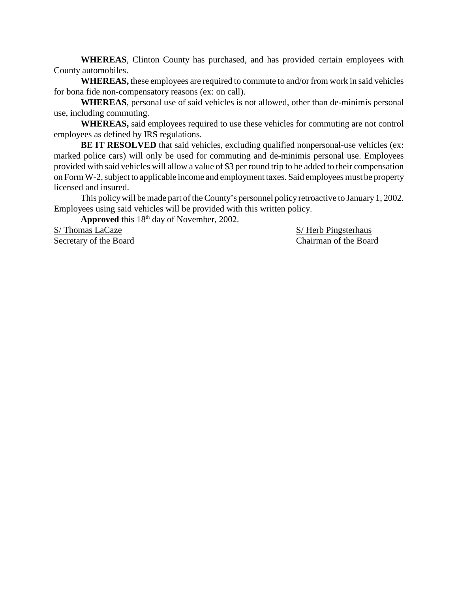**WHEREAS**, Clinton County has purchased, and has provided certain employees with County automobiles.

**WHEREAS,** these employees are required to commute to and/or from work in said vehicles for bona fide non-compensatory reasons (ex: on call).

**WHEREAS**, personal use of said vehicles is not allowed, other than de-minimis personal use, including commuting.

**WHEREAS,** said employees required to use these vehicles for commuting are not control employees as defined by IRS regulations.

**BE IT RESOLVED** that said vehicles, excluding qualified nonpersonal-use vehicles (ex: marked police cars) will only be used for commuting and de-minimis personal use. Employees provided with said vehicles will allow a value of \$3 per round trip to be added to their compensation on Form W-2, subject to applicable income and employment taxes. Said employees must be property licensed and insured.

This policy will be made part of the County's personnel policy retroactive to January 1, 2002. Employees using said vehicles will be provided with this written policy.

Approved this 18<sup>th</sup> day of November, 2002.

S/ Thomas LaCaze S/ Herb Pingsterhaus

Secretary of the Board Chairman of the Board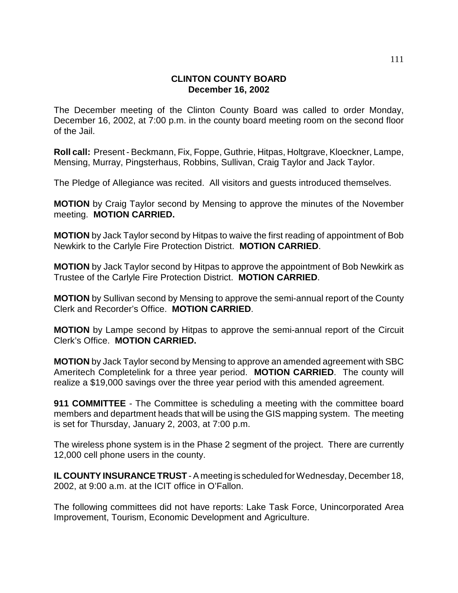### **CLINTON COUNTY BOARD December 16, 2002**

The December meeting of the Clinton County Board was called to order Monday, December 16, 2002, at 7:00 p.m. in the county board meeting room on the second floor of the Jail.

**Roll call:** Present - Beckmann, Fix, Foppe, Guthrie, Hitpas, Holtgrave, Kloeckner, Lampe, Mensing, Murray, Pingsterhaus, Robbins, Sullivan, Craig Taylor and Jack Taylor.

The Pledge of Allegiance was recited. All visitors and guests introduced themselves.

**MOTION** by Craig Taylor second by Mensing to approve the minutes of the November meeting. **MOTION CARRIED.**

**MOTION** by Jack Taylor second by Hitpas to waive the first reading of appointment of Bob Newkirk to the Carlyle Fire Protection District. **MOTION CARRIED**.

**MOTION** by Jack Taylor second by Hitpas to approve the appointment of Bob Newkirk as Trustee of the Carlyle Fire Protection District. **MOTION CARRIED**.

**MOTION** by Sullivan second by Mensing to approve the semi-annual report of the County Clerk and Recorder's Office. **MOTION CARRIED**.

**MOTION** by Lampe second by Hitpas to approve the semi-annual report of the Circuit Clerk's Office. **MOTION CARRIED.**

**MOTION** by Jack Taylor second by Mensing to approve an amended agreement with SBC Ameritech Completelink for a three year period. **MOTION CARRIED**. The county will realize a \$19,000 savings over the three year period with this amended agreement.

**911 COMMITTEE** - The Committee is scheduling a meeting with the committee board members and department heads that will be using the GIS mapping system. The meeting is set for Thursday, January 2, 2003, at 7:00 p.m.

The wireless phone system is in the Phase 2 segment of the project. There are currently 12,000 cell phone users in the county.

**IL COUNTY INSURANCE TRUST** - A meeting is scheduled for Wednesday, December 18, 2002, at 9:00 a.m. at the ICIT office in O'Fallon.

The following committees did not have reports: Lake Task Force, Unincorporated Area Improvement, Tourism, Economic Development and Agriculture.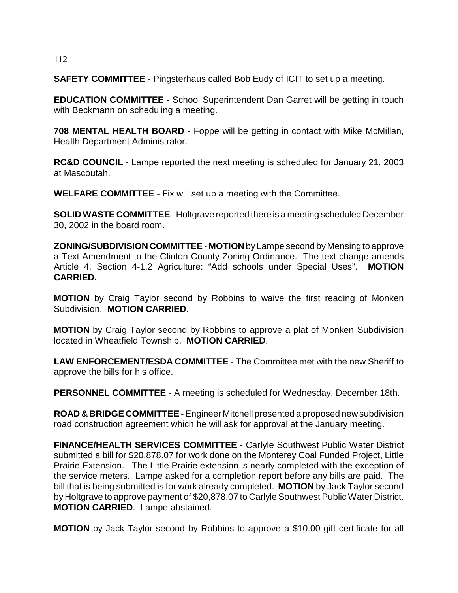### 112

**SAFETY COMMITTEE** - Pingsterhaus called Bob Eudy of ICIT to set up a meeting.

**EDUCATION COMMITTEE -** School Superintendent Dan Garret will be getting in touch with Beckmann on scheduling a meeting.

**708 MENTAL HEALTH BOARD** - Foppe will be getting in contact with Mike McMillan, Health Department Administrator.

**RC&D COUNCIL** - Lampe reported the next meeting is scheduled for January 21, 2003 at Mascoutah.

**WELFARE COMMITTEE** - Fix will set up a meeting with the Committee.

**SOLID WASTE COMMITTEE** - Holtgrave reported there is a meeting scheduled December 30, 2002 in the board room.

**ZONING/SUBDIVISION COMMITTEE** - **MOTION** by Lampe second by Mensing to approve a Text Amendment to the Clinton County Zoning Ordinance. The text change amends Article 4, Section 4-1.2 Agriculture: "Add schools under Special Uses". **MOTION CARRIED.**

**MOTION** by Craig Taylor second by Robbins to waive the first reading of Monken Subdivision. **MOTION CARRIED**.

**MOTION** by Craig Taylor second by Robbins to approve a plat of Monken Subdivision located in Wheatfield Township. **MOTION CARRIED**.

**LAW ENFORCEMENT/ESDA COMMITTEE** - The Committee met with the new Sheriff to approve the bills for his office.

**PERSONNEL COMMITTEE** - A meeting is scheduled for Wednesday, December 18th.

**ROAD & BRIDGE COMMITTEE** - Engineer Mitchell presented a proposed new subdivision road construction agreement which he will ask for approval at the January meeting.

**FINANCE/HEALTH SERVICES COMMITTEE** - Carlyle Southwest Public Water District submitted a bill for \$20,878.07 for work done on the Monterey Coal Funded Project, Little Prairie Extension. The Little Prairie extension is nearly completed with the exception of the service meters. Lampe asked for a completion report before any bills are paid. The bill that is being submitted is for work already completed. **MOTION** by Jack Taylor second by Holtgrave to approve payment of \$20,878.07 to Carlyle Southwest Public Water District. **MOTION CARRIED**. Lampe abstained.

**MOTION** by Jack Taylor second by Robbins to approve a \$10.00 gift certificate for all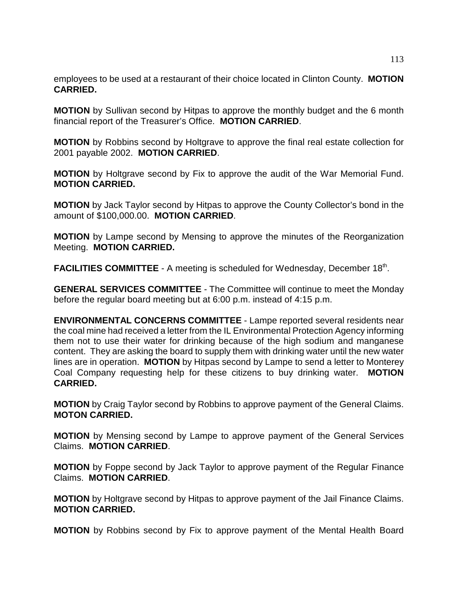employees to be used at a restaurant of their choice located in Clinton County. **MOTION CARRIED.**

**MOTION** by Sullivan second by Hitpas to approve the monthly budget and the 6 month financial report of the Treasurer's Office. **MOTION CARRIED**.

**MOTION** by Robbins second by Holtgrave to approve the final real estate collection for 2001 payable 2002. **MOTION CARRIED**.

**MOTION** by Holtgrave second by Fix to approve the audit of the War Memorial Fund. **MOTION CARRIED.**

**MOTION** by Jack Taylor second by Hitpas to approve the County Collector's bond in the amount of \$100,000.00. **MOTION CARRIED**.

**MOTION** by Lampe second by Mensing to approve the minutes of the Reorganization Meeting. **MOTION CARRIED.**

FACILITIES COMMITTEE - A meeting is scheduled for Wednesday, December 18<sup>th</sup>.

**GENERAL SERVICES COMMITTEE** - The Committee will continue to meet the Monday before the regular board meeting but at 6:00 p.m. instead of 4:15 p.m.

**ENVIRONMENTAL CONCERNS COMMITTEE** - Lampe reported several residents near the coal mine had received a letter from the IL Environmental Protection Agency informing them not to use their water for drinking because of the high sodium and manganese content. They are asking the board to supply them with drinking water until the new water lines are in operation. **MOTION** by Hitpas second by Lampe to send a letter to Monterey Coal Company requesting help for these citizens to buy drinking water. **MOTION CARRIED.** 

**MOTION** by Craig Taylor second by Robbins to approve payment of the General Claims. **MOTON CARRIED.**

**MOTION** by Mensing second by Lampe to approve payment of the General Services Claims. **MOTION CARRIED**.

**MOTION** by Foppe second by Jack Taylor to approve payment of the Regular Finance Claims. **MOTION CARRIED**.

**MOTION** by Holtgrave second by Hitpas to approve payment of the Jail Finance Claims. **MOTION CARRIED.**

**MOTION** by Robbins second by Fix to approve payment of the Mental Health Board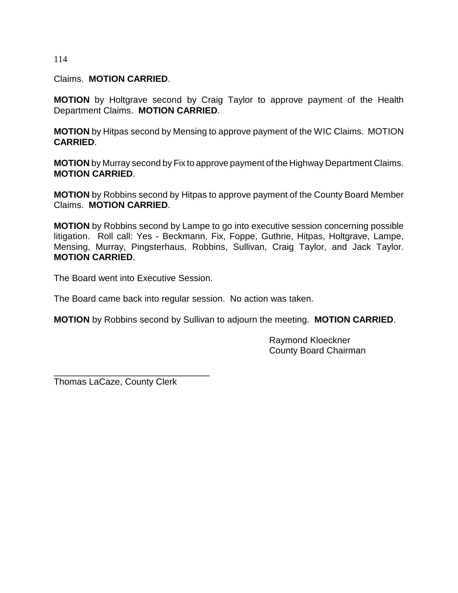114

Claims. **MOTION CARRIED**.

**MOTION** by Holtgrave second by Craig Taylor to approve payment of the Health Department Claims. **MOTION CARRIED**.

**MOTION** by Hitpas second by Mensing to approve payment of the WIC Claims. MOTION **CARRIED**.

**MOTION** by Murray second by Fix to approve payment of the Highway Department Claims. **MOTION CARRIED**.

**MOTION** by Robbins second by Hitpas to approve payment of the County Board Member Claims. **MOTION CARRIED**.

**MOTION** by Robbins second by Lampe to go into executive session concerning possible litigation. Roll call: Yes - Beckmann, Fix, Foppe, Guthrie, Hitpas, Holtgrave, Lampe, Mensing, Murray, Pingsterhaus, Robbins, Sullivan, Craig Taylor, and Jack Taylor. **MOTION CARRIED**.

The Board went into Executive Session.

The Board came back into regular session. No action was taken.

**MOTION** by Robbins second by Sullivan to adjourn the meeting. **MOTION CARRIED**.

Raymond Kloeckner County Board Chairman

Thomas LaCaze, County Clerk

\_\_\_\_\_\_\_\_\_\_\_\_\_\_\_\_\_\_\_\_\_\_\_\_\_\_\_\_\_\_\_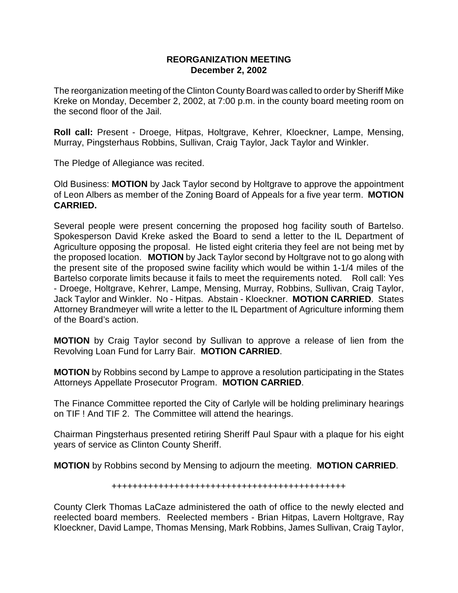### **REORGANIZATION MEETING December 2, 2002**

The reorganization meeting of the Clinton County Board was called to order by Sheriff Mike Kreke on Monday, December 2, 2002, at 7:00 p.m. in the county board meeting room on the second floor of the Jail.

**Roll call:** Present - Droege, Hitpas, Holtgrave, Kehrer, Kloeckner, Lampe, Mensing, Murray, Pingsterhaus Robbins, Sullivan, Craig Taylor, Jack Taylor and Winkler.

The Pledge of Allegiance was recited.

Old Business: **MOTION** by Jack Taylor second by Holtgrave to approve the appointment of Leon Albers as member of the Zoning Board of Appeals for a five year term. **MOTION CARRIED.**

Several people were present concerning the proposed hog facility south of Bartelso. Spokesperson David Kreke asked the Board to send a letter to the IL Department of Agriculture opposing the proposal. He listed eight criteria they feel are not being met by the proposed location. **MOTION** by Jack Taylor second by Holtgrave not to go along with the present site of the proposed swine facility which would be within 1-1/4 miles of the Bartelso corporate limits because it fails to meet the requirements noted. Roll call: Yes - Droege, Holtgrave, Kehrer, Lampe, Mensing, Murray, Robbins, Sullivan, Craig Taylor, Jack Taylor and Winkler. No - Hitpas. Abstain - Kloeckner. **MOTION CARRIED**. States Attorney Brandmeyer will write a letter to the IL Department of Agriculture informing them of the Board's action.

**MOTION** by Craig Taylor second by Sullivan to approve a release of lien from the Revolving Loan Fund for Larry Bair. **MOTION CARRIED**.

**MOTION** by Robbins second by Lampe to approve a resolution participating in the States Attorneys Appellate Prosecutor Program. **MOTION CARRIED**.

The Finance Committee reported the City of Carlyle will be holding preliminary hearings on TIF ! And TIF 2. The Committee will attend the hearings.

Chairman Pingsterhaus presented retiring Sheriff Paul Spaur with a plaque for his eight years of service as Clinton County Sheriff.

**MOTION** by Robbins second by Mensing to adjourn the meeting. **MOTION CARRIED**.

### +++++++++++++++++++++++++++++++++++++++++++++

County Clerk Thomas LaCaze administered the oath of office to the newly elected and reelected board members. Reelected members - Brian Hitpas, Lavern Holtgrave, Ray Kloeckner, David Lampe, Thomas Mensing, Mark Robbins, James Sullivan, Craig Taylor,